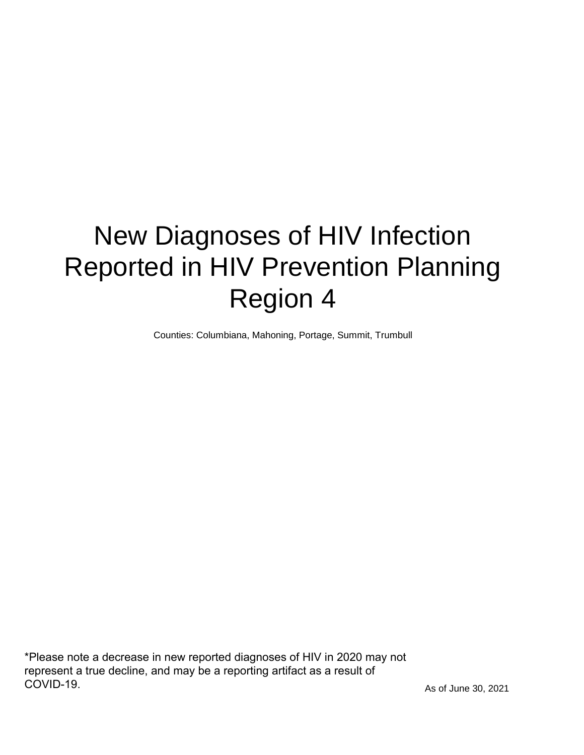# New Diagnoses of HIV Infection Reported in HIV Prevention Planning Region 4

Counties: Columbiana, Mahoning, Portage, Summit, Trumbull

\*Please note a decrease in new reported diagnoses of HIV in 2020 may not represent a true decline, and may be a reporting artifact as a result of COVID-19.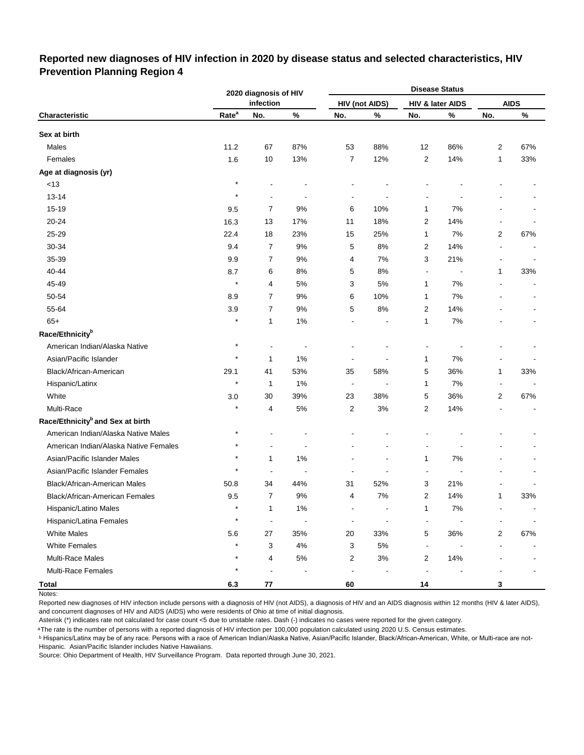## **Reported new diagnoses of HIV infection in 2020 by disease status and selected characteristics, HIV Prevention Planning Region 4**

|                                              |                   | 2020 diagnosis of HIV |                |                           |                       |                | <b>Disease Status</b> |                          |             |
|----------------------------------------------|-------------------|-----------------------|----------------|---------------------------|-----------------------|----------------|-----------------------|--------------------------|-------------|
|                                              |                   | infection             |                |                           | <b>HIV (not AIDS)</b> |                | HIV & later AIDS      |                          | <b>AIDS</b> |
| Characteristic                               | Rate <sup>a</sup> | No.                   | $\%$           | No.                       | %                     | No.            | $\%$                  | No.                      | $\%$        |
| Sex at birth                                 |                   |                       |                |                           |                       |                |                       |                          |             |
| Males                                        | 11.2              | 67                    | 87%            | 53                        | 88%                   | 12             | 86%                   | 2                        | 67%         |
| Females                                      | 1.6               | 10                    | 13%            | $\overline{7}$            | 12%                   | 2              | 14%                   | 1                        | 33%         |
| Age at diagnosis (yr)                        |                   |                       |                |                           |                       |                |                       |                          |             |
| $<13$                                        | $\star$           |                       |                |                           |                       |                |                       |                          |             |
| $13 - 14$                                    | $\star$           |                       |                |                           |                       |                |                       |                          |             |
| 15-19                                        | 9.5               | $\overline{7}$        | 9%             | 6                         | 10%                   | 1              | 7%                    |                          |             |
| 20-24                                        | 16.3              | 13                    | 17%            | 11                        | 18%                   | $\overline{2}$ | 14%                   |                          |             |
| 25-29                                        | 22.4              | 18                    | 23%            | 15                        | 25%                   | $\mathbf{1}$   | 7%                    | 2                        | 67%         |
| 30-34                                        | 9.4               | 7                     | 9%             | 5                         | 8%                    | $\overline{2}$ | 14%                   | $\overline{a}$           |             |
| 35-39                                        | 9.9               | 7                     | 9%             | 4                         | 7%                    | 3              | 21%                   | $\overline{\phantom{a}}$ |             |
| 40-44                                        | 8.7               | 6                     | 8%             | 5                         | 8%                    | $\blacksquare$ |                       | 1                        | 33%         |
| 45-49                                        | $\star$           | 4                     | 5%             | 3                         | 5%                    | 1              | 7%                    |                          |             |
| 50-54                                        | 8.9               | 7                     | 9%             | 6                         | 10%                   | 1              | 7%                    |                          |             |
| 55-64                                        | 3.9               | 7                     | 9%             | 5                         | 8%                    | $\overline{c}$ | 14%                   |                          |             |
| $65+$                                        |                   | 1                     | 1%             |                           |                       | $\mathbf{1}$   | 7%                    |                          |             |
| Race/Ethnicity <sup>b</sup>                  |                   |                       |                |                           |                       |                |                       |                          |             |
| American Indian/Alaska Native                | $^\star$          | $\overline{a}$        | ÷              |                           |                       |                |                       |                          |             |
| Asian/Pacific Islander                       | $\star$           | 1                     | 1%             |                           |                       | 1              | 7%                    | -                        |             |
| Black/African-American                       | 29.1              | 41                    | 53%            | 35                        | 58%                   | 5              | 36%                   | 1                        | 33%         |
| Hispanic/Latinx                              | $\star$           | 1                     | 1%             | $\overline{\phantom{a}}$  |                       | 1              | 7%                    | $\overline{\phantom{a}}$ |             |
| White                                        | 3.0               | 30                    | 39%            | 23                        | 38%                   | 5              | 36%                   | 2                        | 67%         |
| Multi-Race                                   |                   | 4                     | 5%             | 2                         | 3%                    | $\overline{2}$ | 14%                   |                          |             |
| Race/Ethnicity <sup>b</sup> and Sex at birth |                   |                       |                |                           |                       |                |                       |                          |             |
| American Indian/Alaska Native Males          | $^\star$          |                       |                |                           |                       |                |                       |                          |             |
| American Indian/Alaska Native Females        | $\star$           |                       |                |                           |                       |                |                       |                          |             |
| Asian/Pacific Islander Males                 | $\star$           | 1                     | 1%             |                           |                       | $\mathbf{1}$   | 7%                    |                          |             |
| Asian/Pacific Islander Females               | $\star$           | $\overline{a}$        | ÷,             |                           |                       |                |                       |                          |             |
| Black/African-American Males                 | 50.8              | 34                    | 44%            | 31                        | 52%                   | 3              | 21%                   |                          |             |
| Black/African-American Females               | 9.5               | 7                     | 9%             | 4                         | 7%                    | $\overline{2}$ | 14%                   | 1                        | 33%         |
| Hispanic/Latino Males                        | $\star$           | 1                     | $1\%$          |                           |                       | 1              | $7\%$                 |                          |             |
| Hispanic/Latina Females                      | $\star$           | $\blacksquare$        | $\blacksquare$ |                           |                       |                |                       |                          |             |
| <b>White Males</b>                           | 5.6               | 27                    | 35%            | $20\,$                    | 33%                   | 5              | 36%                   | 2                        | 67%         |
| <b>White Females</b>                         | $\star$           | 3                     | $4\%$          | $\ensuremath{\mathsf{3}}$ | $5\%$                 | $\blacksquare$ |                       |                          |             |
| Multi-Race Males                             | $\star$           | 4                     | $5\%$          | $\overline{\mathbf{c}}$   | $3%$                  | $\mathbf 2$    | 14%                   |                          |             |
| <b>Multi-Race Females</b>                    | $^\star$          | $\blacksquare$        |                | $\overline{a}$            |                       | $\blacksquare$ |                       |                          |             |
| <b>Total</b>                                 | 6.3               | ${\bf 77}$            |                | 60                        |                       | 14             |                       | 3                        |             |

Notes:

Reported new diagnoses of HIV infection include persons with a diagnosis of HIV (not AIDS), a diagnosis of HIV and an AIDS diagnosis within 12 months (HIV & later AIDS), and concurrent diagnoses of HIV and AIDS (AIDS) who were residents of Ohio at time of initial diagnosis.

Asterisk (\*) indicates rate not calculated for case count <5 due to unstable rates. Dash (-) indicates no cases were reported for the given category.

<sup>a</sup>The rate is the number of persons with a reported diagnosis of HIV infection per 100,000 population calculated using 2020 U.S. Census estimates.

ᵇ Hispanics/Latinx may be of any race. Persons with a race of American Indian/Alaska Native, Asian/Pacific Islander, Black/African-American, White, or Multi-race are not-Hispanic. Asian/Pacific Islander includes Native Hawaiians.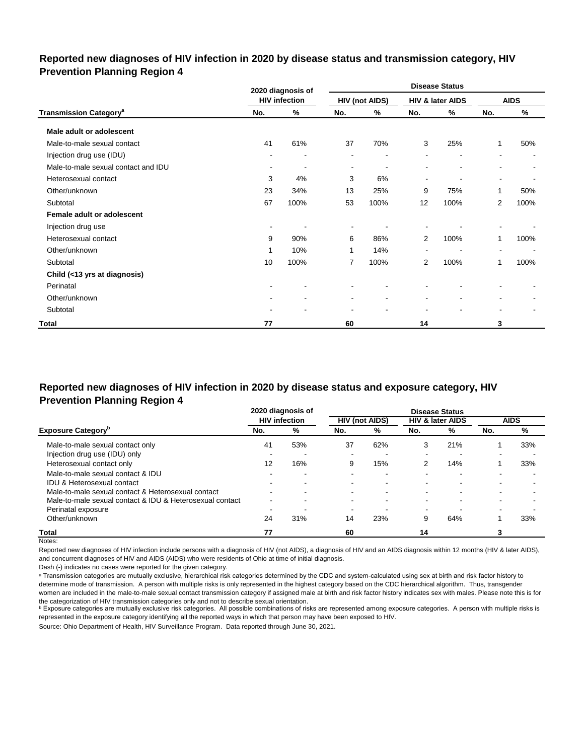## **Reported new diagnoses of HIV infection in 2020 by disease status and transmission category, HIV Prevention Planning Region 4**

|                                          |                | 2020 diagnosis of        |                |                       |                          | <b>Disease Status</b>    |                          |             |
|------------------------------------------|----------------|--------------------------|----------------|-----------------------|--------------------------|--------------------------|--------------------------|-------------|
|                                          |                | <b>HIV infection</b>     |                | <b>HIV (not AIDS)</b> |                          | HIV & later AIDS         |                          | <b>AIDS</b> |
| <b>Transmission Category<sup>a</sup></b> | No.            | %                        | No.            | ℅                     | No.                      | %                        | No.                      | %           |
| Male adult or adolescent                 |                |                          |                |                       |                          |                          |                          |             |
| Male-to-male sexual contact              | 41             | 61%                      | 37             | 70%                   | 3                        | 25%                      | 1                        | 50%         |
| Injection drug use (IDU)                 |                |                          |                |                       |                          | $\overline{\phantom{a}}$ | $\overline{\phantom{a}}$ |             |
| Male-to-male sexual contact and IDU      | $\blacksquare$ | $\overline{\phantom{a}}$ | $\blacksquare$ | ۰                     | $\blacksquare$           | $\blacksquare$           | ۰                        |             |
| Heterosexual contact                     | 3              | 4%                       | 3              | 6%                    | $\overline{\phantom{a}}$ | $\overline{\phantom{a}}$ | $\blacksquare$           |             |
| Other/unknown                            | 23             | 34%                      | 13             | 25%                   | 9                        | 75%                      | 1                        | 50%         |
| Subtotal                                 | 67             | 100%                     | 53             | 100%                  | 12                       | 100%                     | $\overline{2}$           | 100%        |
| Female adult or adolescent               |                |                          |                |                       |                          |                          |                          |             |
| Injection drug use                       | $\sim$         |                          | $\blacksquare$ |                       |                          |                          |                          |             |
| Heterosexual contact                     | 9              | 90%                      | 6              | 86%                   | $\overline{2}$           | 100%                     | 1                        | 100%        |
| Other/unknown                            | 1              | 10%                      | 1              | 14%                   |                          |                          | $\overline{\phantom{a}}$ |             |
| Subtotal                                 | 10             | 100%                     | 7              | 100%                  | $\overline{2}$           | 100%                     | 1                        | 100%        |
| Child (<13 yrs at diagnosis)             |                |                          |                |                       |                          |                          |                          |             |
| Perinatal                                |                |                          |                |                       |                          |                          |                          |             |
| Other/unknown                            |                |                          |                | ۰                     |                          |                          | ۰                        |             |
| Subtotal                                 |                |                          |                |                       |                          |                          | $\blacksquare$           |             |
| <b>Total</b>                             | 77             |                          | 60             |                       | 14                       |                          | 3                        |             |

# **Reported new diagnoses of HIV infection in 2020 by disease status and exposure category, HIV Prevention Planning Region 4**

|                                                          |                | 2020 diagnosis of    |        |                          |     | <b>Disease Status</b>       |                          |                          |
|----------------------------------------------------------|----------------|----------------------|--------|--------------------------|-----|-----------------------------|--------------------------|--------------------------|
|                                                          |                | <b>HIV</b> infection |        | <b>HIV (not AIDS)</b>    |     | <b>HIV &amp; later AIDS</b> |                          | <b>AIDS</b>              |
| <b>Exposure Category</b> "                               | No.            | %                    | No.    | %                        | No. | %                           | No.                      | %                        |
| Male-to-male sexual contact only                         | 41             | 53%                  | 37     | 62%                      | 3   | 21%                         |                          | 33%                      |
| Injection drug use (IDU) only                            | -              |                      | ۰.     |                          | ۰   | -                           | -                        |                          |
| Heterosexual contact only                                | 12             | 16%                  | 9      | 15%                      | 2   | 14%                         |                          | 33%                      |
| Male-to-male sexual contact & IDU                        |                |                      | ۰.     |                          | ۰   | -                           |                          |                          |
| IDU & Heterosexual contact                               |                |                      |        |                          |     |                             |                          |                          |
| Male-to-male sexual contact & Heterosexual contact       | $\sim$         | -                    | $\sim$ | $\overline{\phantom{0}}$ | ۰   | -                           | $\overline{\phantom{0}}$ | $\overline{\phantom{0}}$ |
| Male-to-male sexual contact & IDU & Heterosexual contact | $\blacksquare$ |                      | ۰.     | ۰                        | ۰   | -                           |                          |                          |
| Perinatal exposure                                       |                |                      |        |                          | -   |                             | -                        |                          |
| Other/unknown                                            | 24             | 31%                  | 14     | 23%                      | 9   | 64%                         |                          | 33%                      |
| Total                                                    | 77             |                      | 60     |                          | 14  |                             |                          |                          |

Notes:

Reported new diagnoses of HIV infection include persons with a diagnosis of HIV (not AIDS), a diagnosis of HIV and an AIDS diagnosis within 12 months (HIV & later AIDS), and concurrent diagnoses of HIV and AIDS (AIDS) who were residents of Ohio at time of initial diagnosis.

Dash (-) indicates no cases were reported for the given category.

a Transmission categories are mutually exclusive, hierarchical risk categories determined by the CDC and system-calculated using sex at birth and risk factor history to determine mode of transmission. A person with multiple risks is only represented in the highest category based on the CDC hierarchical algorithm. Thus, transgender women are included in the male-to-male sexual contact transmission category if assigned male at birth and risk factor history indicates sex with males. Please note this is for the categorization of HIV transmission categories only and not to describe sexual orientation.

**b** Exposure categories are mutually exclusive risk categories. All possible combinations of risks are represented among exposure categories. A person with multiple risks is represented in the exposure category identifying all the reported ways in which that person may have been exposed to HIV.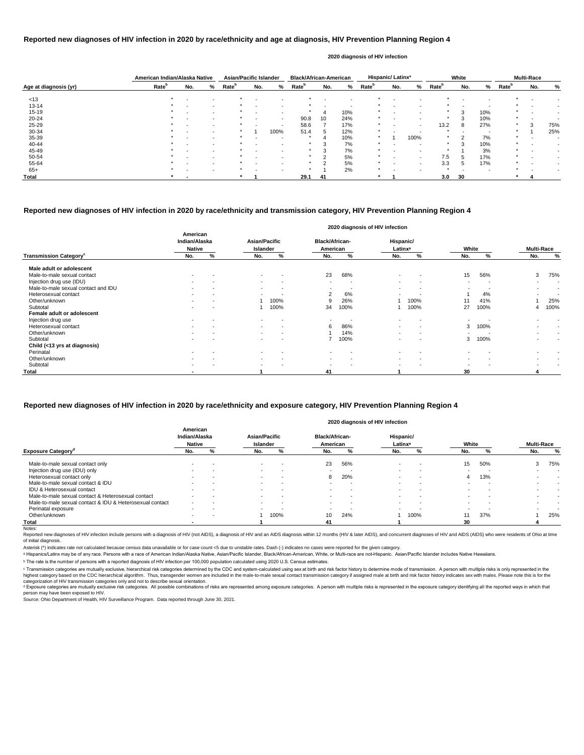|                       | American Indian/Alaska Native |                          |                          | <b>Asian/Pacific Islander</b> |                          |        | <b>Black/African-American</b> |             |                          |                   | <b>Hispanic/Latinx<sup>ª</sup></b> |                          |                   | White |     |                   | <b>Multi-Race</b> |     |
|-----------------------|-------------------------------|--------------------------|--------------------------|-------------------------------|--------------------------|--------|-------------------------------|-------------|--------------------------|-------------------|------------------------------------|--------------------------|-------------------|-------|-----|-------------------|-------------------|-----|
| Age at diagnosis (yr) | Rate <sup>b</sup>             | No.                      | %                        | Rate <sup>b</sup>             | No.                      | %      | Rate <sup>r</sup>             | No.         | %                        | Rate <sup>b</sup> | No.                                | %                        | Rate <sup>b</sup> | No.   | ℅   | Rate <sup>b</sup> | No.               | %   |
| < 13                  | $\star$                       | $\overline{\phantom{0}}$ | $\overline{\phantom{a}}$ |                               |                          |        |                               |             | $\overline{\phantom{a}}$ |                   | $\overline{\phantom{a}}$           |                          |                   |       |     |                   |                   |     |
| $13 - 14$             |                               |                          | $\sim$                   |                               |                          |        |                               |             | $\overline{\phantom{a}}$ |                   |                                    |                          |                   |       |     |                   |                   |     |
| $15 - 19$             |                               | $\overline{\phantom{0}}$ | $\sim$                   |                               | $\,$ $\,$                | $\sim$ |                               |             | 10%                      |                   |                                    | $\overline{\phantom{0}}$ |                   | 3     | 10% |                   |                   |     |
| $20 - 24$             |                               |                          | $\sim$                   |                               |                          | $\sim$ | 90.8                          | 10          | 24%                      |                   |                                    | $\overline{a}$           | $\star$           | 3     | 10% | $\star$           |                   |     |
| 25-29                 |                               |                          |                          |                               |                          |        | 58.6                          |             | 17%                      |                   |                                    | $\blacksquare$           | 13.2              | 8     | 27% | $\star$           | 3                 | 75% |
| 30-34                 |                               | $\overline{\phantom{0}}$ | $\,$ $\,$                |                               |                          | 100%   | 51.4                          | $\mathbf b$ | 12%                      |                   |                                    |                          |                   |       |     |                   |                   | 25% |
| 35-39                 |                               |                          | $\overline{\phantom{a}}$ |                               | $\blacksquare$           |        |                               |             | 10%                      | *                 |                                    | 100%                     | $\star$           | ົ     | 7%  |                   |                   |     |
| 40-44                 |                               |                          | $\sim$                   |                               | $\overline{\phantom{0}}$ |        | $\star$                       |             | 7%                       | $\star$           |                                    |                          | $\star$           | 3     | 10% | $\star$           |                   |     |
| 45-49                 |                               |                          |                          |                               |                          |        |                               |             | 7%                       |                   |                                    |                          |                   |       | 3%  |                   |                   |     |
| 50-54                 |                               |                          |                          |                               |                          |        |                               |             | 5%                       |                   |                                    | $\overline{\phantom{0}}$ | 7.5               | 5     | 17% |                   |                   |     |
| 55-64                 |                               |                          | $\overline{\phantom{a}}$ |                               |                          |        |                               | $\sim$      | 5%                       |                   |                                    | $\overline{a}$           | 3.3               | 5     | 17% |                   |                   |     |
| $65+$                 |                               |                          | $\sim$                   |                               | $\overline{\phantom{a}}$ |        | $\ast$                        |             | 2%                       | *                 |                                    | $\overline{\phantom{0}}$ | $\star$           |       |     |                   |                   |     |
| Total                 |                               |                          |                          |                               |                          |        | 29.1                          | 41          |                          |                   |                                    |                          | 3.0               | 30    |     |                   |                   |     |

Reported new diagnoses of HIV infection include persons with a diagnosis of HIV (not AIDS), a diagnosis of HIV and an AIDS diagnosis within 12 months (HIV & later AIDS), and concurrent diagnoses of HIV and AIDS (AIDS) who of initial diagnosis.

|                                           |                                            |   |                           |                          |                                   | 2020 diagnosis of HIV infection |                                  |                          |                          |                          |                   |                          |
|-------------------------------------------|--------------------------------------------|---|---------------------------|--------------------------|-----------------------------------|---------------------------------|----------------------------------|--------------------------|--------------------------|--------------------------|-------------------|--------------------------|
|                                           | American<br>Indian/Alaska<br><b>Native</b> |   | Asian/Pacific<br>Islander |                          | <b>Black/African-</b><br>American |                                 | Hispanic/<br>Latinx <sup>a</sup> |                          | White                    |                          | <b>Multi-Race</b> |                          |
| <b>Transmission Category</b> <sup>c</sup> | No.                                        | % | No.                       | %                        | No.                               | %                               | No.                              | %                        | No.                      | %                        | No.               | $\%$                     |
| Male adult or adolescent                  |                                            |   |                           |                          |                                   |                                 |                                  |                          |                          |                          |                   |                          |
| Male-to-male sexual contact               | $\,$ $\,$                                  |   | $\overline{\phantom{a}}$  | $\overline{\phantom{a}}$ | 23                                | 68%                             |                                  |                          | 15                       | 56%                      | 3                 | 75%                      |
| Injection drug use (IDU)                  |                                            |   | $\sim$                    | $\overline{\phantom{a}}$ |                                   |                                 |                                  |                          |                          |                          |                   | $\,$ $\,$                |
| Male-to-male sexual contact and IDU       | $\blacksquare$                             |   | $\sim$                    | $\overline{\phantom{a}}$ | $\sim$                            | - -                             | $\overline{\phantom{a}}$         |                          | $\overline{\phantom{0}}$ |                          | $\blacksquare$    | $\overline{\phantom{a}}$ |
| Heterosexual contact                      | $\blacksquare$                             |   | $\sim$                    | $\overline{\phantom{a}}$ | 2                                 | 6%                              |                                  |                          |                          | 4%                       |                   | $\,$ $\,$                |
| Other/unknown                             |                                            |   |                           | 100%                     | 9                                 | 26%                             |                                  | 100%                     | 11                       | 41%                      |                   | 25%                      |
| Subtotal                                  |                                            |   |                           | 100%                     | 34                                | 100%                            |                                  | 100%                     | 27                       | 100%                     | 4                 | 100%                     |
| Female adult or adolescent                |                                            |   |                           |                          |                                   |                                 |                                  |                          |                          |                          |                   |                          |
| Injection drug use                        | $\sim$                                     |   | $\sim$                    | $\overline{\phantom{a}}$ | $\sim$                            | . .                             | $\overline{\phantom{a}}$         | $\overline{\phantom{a}}$ |                          |                          | $\,$ $\,$         | $\sim$                   |
| Heterosexual contact                      | $\,$                                       |   | $\sim$                    | $\overline{\phantom{a}}$ | 6                                 | 86%                             |                                  |                          | 3                        | 100%                     |                   |                          |
| Other/unknown                             |                                            |   | $\sim$                    | $\overline{\phantom{a}}$ |                                   | 14%                             |                                  |                          |                          |                          |                   | $\,$ $\,$                |
| Subtotal                                  | $\,$ $\,$                                  |   | $\sim$                    | $\overline{\phantom{a}}$ |                                   | 100%                            |                                  |                          | 3                        | 100%                     | ۰                 |                          |
| Child (<13 yrs at diagnosis)              |                                            |   |                           |                          |                                   |                                 |                                  |                          |                          |                          |                   |                          |
| Perinatal                                 | $\sim$                                     |   | $\sim$                    |                          |                                   | $\overline{\phantom{a}}$        | $\overline{\phantom{a}}$         |                          |                          |                          |                   |                          |
| Other/unknown                             | $\blacksquare$                             |   | $\sim$                    | $\overline{\phantom{a}}$ | $\sim$                            | $\overline{\phantom{a}}$        | $\overline{\phantom{a}}$         | $\overline{\phantom{a}}$ | $\sim$                   | $\overline{\phantom{a}}$ | $\blacksquare$    | $\sim$                   |
| Subtotal                                  |                                            |   |                           |                          | $\sim$                            |                                 | $\overline{\phantom{a}}$         | $\,$                     | $\overline{\phantom{a}}$ |                          |                   |                          |
| Total                                     |                                            |   |                           |                          | 41                                |                                 |                                  |                          | 30                       |                          |                   |                          |

© Transmission categories are mutually exclusive, hierarchical risk categories determined by the CDC and system-calculated using sex at birth and risk factor history to determine mode of transmission. A person with multip highest category based on the CDC hierarchical algorithm. Thus, transgender women are included in the male-to-male sexual contact transmission category if assigned male at birth and risk factor history indicates sex with m categorization of HIV transmission categories only and not to describe sexual orientation.

## **Reported new diagnoses of HIV infection in 2020 by race/ethnicity and age at diagnosis, HIV Prevention Planning Region 4**

d Exposure categories are mutually exclusive risk categories. All possible combinations of risks are represented among exposure categories. A person with multiple risks is represented in the exposure category identifying a person may have been exposed to HIV.

Source: Ohio Department of Health, HIV Surveillance Program. Data reported through June 30, 2021.

#### **2020 diagnosis of HIV infection**

## **Reported new diagnoses of HIV infection in 2020 by race/ethnicity and transmission category, HIV Prevention Planning Region 4**

|                                                          |                                            |        |                                  |                          |                                   |     | 2020 diagnosis of HIV infection  |      |       |                          |                   |        |
|----------------------------------------------------------|--------------------------------------------|--------|----------------------------------|--------------------------|-----------------------------------|-----|----------------------------------|------|-------|--------------------------|-------------------|--------|
|                                                          | American<br>Indian/Alaska<br><b>Native</b> |        | <b>Asian/Pacific</b><br>Islander |                          | <b>Black/African-</b><br>American |     | Hispanic/<br>Latinx <sup>a</sup> |      | White |                          | <b>Multi-Race</b> |        |
| <b>Exposure Category<sup>d</sup></b>                     | No.                                        | %      | No.                              | %                        | No.                               | %   | No.                              | ℅    | No.   |                          | No.               | %      |
| Male-to-male sexual contact only                         |                                            |        | $\sim$                           |                          | 23                                | 56% | $\sim$                           |      | 15    | 50%                      | 3                 | 75%    |
| Injection drug use (IDU) only                            | $\overline{\phantom{a}}$                   | . .    | $\sim$                           | -                        |                                   |     | $\overline{\phantom{0}}$         | . .  |       |                          |                   |        |
| Heterosexual contact only                                | $\blacksquare$                             | $\sim$ | $\overline{\phantom{a}}$         | $\overline{\phantom{a}}$ | 8                                 | 20% | $\overline{\phantom{0}}$         |      | 4     | 13%                      |                   |        |
| Male-to-male sexual contact & IDU                        | $\sim$                                     | $\sim$ | $\sim$                           | . .                      |                                   |     | $\overline{\phantom{0}}$         |      |       | . .                      |                   | $\sim$ |
| <b>IDU &amp; Heterosexual contact</b>                    | $\sim$                                     |        | $\sim$                           | . .                      |                                   |     | $\blacksquare$                   |      |       |                          | $\overline{a}$    | $\sim$ |
| Male-to-male sexual contact & Heterosexual contact       |                                            |        | $\sim$                           |                          |                                   |     | $\blacksquare$                   |      |       |                          |                   | $\sim$ |
| Male-to-male sexual contact & IDU & Heterosexual contact | $\overline{\phantom{a}}$                   | $\sim$ | $\sim$                           | $\overline{\phantom{a}}$ |                                   |     | $\overline{\phantom{0}}$         |      |       | $\overline{\phantom{0}}$ |                   |        |
| Perinatal exposure                                       | $\sim$                                     | $\sim$ | $\sim$                           | <b>.</b>                 |                                   |     | $\overline{\phantom{0}}$         |      |       |                          |                   | $\sim$ |
| Other/unknown                                            | $\sim$                                     |        |                                  | 100%                     | 10                                | 24% |                                  | 100% | 11    | 37%                      |                   | 25%    |
| Total                                                    |                                            |        |                                  |                          | 41                                |     |                                  |      | 30    |                          |                   |        |
| Notes:                                                   |                                            |        |                                  |                          |                                   |     |                                  |      |       |                          |                   |        |

## **Reported new diagnoses of HIV infection in 2020 by race/ethnicity and exposure category, HIV Prevention Planning Region 4**

Asterisk (\*) indicates rate not calculated because census data unavailable or for case count <5 due to unstable rates. Dash (-) indicates no cases were reported for the given category.

a Hispanics/Latinx may be of any race. Persons with a race of American Indian/Alaska Native, Asian/Pacific Islander, Black/African-American, White, or Multi-race are not-Hispanic. Asian/Pacific Islander includes Native Haw

ᵇ The rate is the number of persons with a reported diagnosis of HIV infection per 100,000 population calculated using 2020 U.S. Census estimates.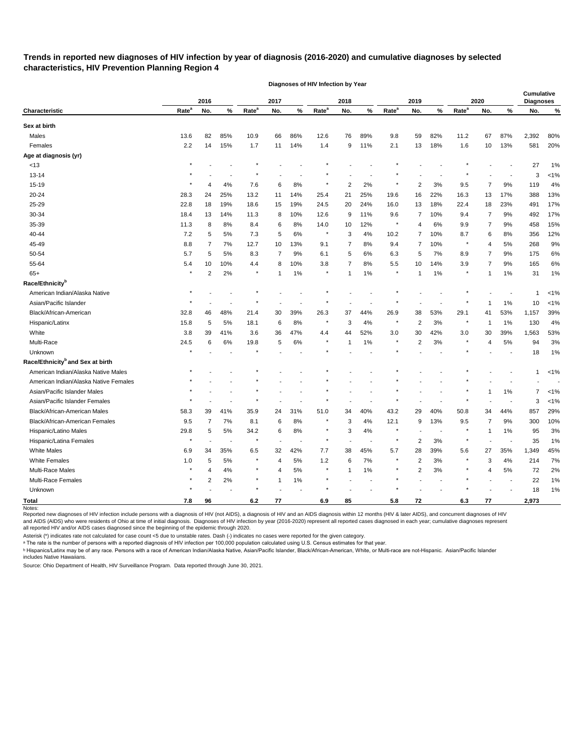# **Trends in reported new diagnoses of HIV infection by year of diagnosis (2016-2020) and cumulative diagnoses by selected characteristics, HIV Prevention Planning Region 4**

|                                              |                   | 2016           |       |                   | 2017           |       |                   | 2018 |       |                   | 2019           |                          |                   | 2020 |        | <b>Cumulative</b><br><b>Diagnoses</b> |         |
|----------------------------------------------|-------------------|----------------|-------|-------------------|----------------|-------|-------------------|------|-------|-------------------|----------------|--------------------------|-------------------|------|--------|---------------------------------------|---------|
| Characteristic                               | Rate <sup>a</sup> | No.            | $\%$  | Rate <sup>a</sup> | No.            | %     | Rate <sup>a</sup> | No.  | $\%$  | Rate <sup>a</sup> | No.            | %                        | Rate <sup>a</sup> | No.  | %      | No.                                   | %       |
| Sex at birth                                 |                   |                |       |                   |                |       |                   |      |       |                   |                |                          |                   |      |        |                                       |         |
| Males                                        | 13.6              | 82             | 85%   | 10.9              | 66             | 86%   | 12.6              | 76   | 89%   | 9.8               | 59             | 82%                      | 11.2              | 67   | 87%    | 2,392                                 | 80%     |
| Females                                      | 2.2               | 14             | 15%   | 1.7               | 11             | 14%   | 1.4               | 9    | 11%   | 2.1               | 13             | 18%                      | 1.6               | 10   | 13%    | 581                                   | 20%     |
| Age at diagnosis (yr)                        |                   |                |       |                   |                |       |                   |      |       |                   |                |                          |                   |      |        |                                       |         |
| <13                                          |                   |                |       |                   |                |       |                   |      |       |                   |                |                          |                   |      |        | 27                                    | 1%      |
| $13 - 14$                                    |                   |                |       |                   |                |       |                   |      |       |                   |                |                          |                   |      |        | 3                                     | $< 1\%$ |
| 15-19                                        |                   | 4              | 4%    | 7.6               | 6              | 8%    |                   | 2    | 2%    |                   | 2              | 3%                       | 9.5               | 7    | 9%     | 119                                   | 4%      |
| 20-24                                        | 28.3              | 24             | 25%   | 13.2              | 11             | 14%   | 25.4              | 21   | 25%   | 19.6              | 16             | 22%                      | 16.3              | 13   | 17%    | 388                                   | 13%     |
| 25-29                                        | 22.8              | 18             | 19%   | 18.6              | 15             | 19%   | 24.5              | 20   | 24%   | 16.0              | 13             | 18%                      | 22.4              | 18   | 23%    | 491                                   | 17%     |
| 30-34                                        | 18.4              | 13             | 14%   | 11.3              | 8              | 10%   | 12.6              | 9    | 11%   | 9.6               | 7              | 10%                      | 9.4               | 7    | 9%     | 492                                   | 17%     |
| 35-39                                        | 11.3              | 8              | 8%    | 8.4               | 6              | 8%    | 14.0              | 10   | 12%   |                   | 4              | 6%                       | 9.9               | 7    | 9%     | 458                                   | 15%     |
| 40-44                                        | 7.2               | 5              | 5%    | 7.3               | 5              | 6%    | $\ast$            | 3    | 4%    | 10.2              | 7              | 10%                      | 8.7               | 6    | 8%     | 356                                   | 12%     |
| 45-49                                        | 8.8               | 7              | 7%    | 12.7              | 10             | 13%   | 9.1               | 7    | 8%    | 9.4               | $\overline{7}$ | 10%                      | $\star$           | 4    | 5%     | 268                                   | 9%      |
| 50-54                                        | 5.7               | 5              | 5%    | 8.3               | 7              | 9%    | 6.1               | 5    | 6%    | 6.3               | 5              | 7%                       | 8.9               | 7    | 9%     | 175                                   | 6%      |
| 55-64                                        | 5.4               | 10             | 10%   | 4.4               | 8              | 10%   | 3.8               | 7    | 8%    | 5.5               | 10             | 14%                      | 3.9               | 7    | 9%     | 165                                   | 6%      |
| $65+$                                        |                   | $\overline{c}$ | 2%    | $\star$           |                | 1%    |                   | 1    | 1%    |                   | 1              | 1%                       |                   | 1    | 1%     | 31                                    | 1%      |
| Race/Ethnicity <sup>b</sup>                  |                   |                |       |                   |                |       |                   |      |       |                   |                |                          |                   |      |        |                                       |         |
| American Indian/Alaska Native                |                   |                |       |                   |                |       |                   |      |       |                   |                |                          |                   |      |        | -1                                    | $< 1\%$ |
| Asian/Pacific Islander                       |                   |                |       |                   |                |       |                   |      |       |                   |                |                          |                   |      | 1%     | 10                                    | $< 1\%$ |
| Black/African-American                       | 32.8              | 46             | 48%   | 21.4              | 30             | 39%   | 26.3              | 37   | 44%   | 26.9              | 38             | 53%                      | 29.1              | 41   | 53%    | 1,157                                 | 39%     |
| Hispanic/Latinx                              | 15.8              | 5              | 5%    | 18.1              | 6              | 8%    |                   | 3    | 4%    |                   | $\overline{2}$ | 3%                       | $\ast$            | -1   | 1%     | 130                                   | 4%      |
| White                                        | 3.8               | 39             | 41%   | 3.6               | 36             | 47%   | 4.4               | 44   | 52%   | 3.0               | 30             | 42%                      | 3.0               | 30   | 39%    | 1,563                                 | 53%     |
| Multi-Race                                   | 24.5              | 6              | 6%    | 19.8              | 5              | 6%    |                   | 1    | 1%    |                   | 2              | 3%                       |                   | 4    | 5%     | 94                                    | 3%      |
| Unknown                                      |                   |                |       |                   |                |       |                   |      |       |                   |                |                          |                   |      |        | 18                                    | 1%      |
| Race/Ethnicity <sup>b</sup> and Sex at birth |                   |                |       |                   |                |       |                   |      |       |                   |                |                          |                   |      |        |                                       |         |
| American Indian/Alaska Native Males          |                   |                |       |                   |                |       |                   |      |       |                   |                |                          |                   |      |        | 1                                     | $< 1\%$ |
| American Indian/Alaska Native Females        |                   |                |       |                   |                |       |                   |      |       |                   |                |                          |                   |      |        |                                       |         |
| Asian/Pacific Islander Males                 |                   |                |       |                   |                |       |                   |      |       |                   |                |                          |                   | 1    | 1%     | 7                                     | $< 1\%$ |
| Asian/Pacific Islander Females               |                   |                |       |                   |                |       |                   |      |       |                   |                |                          |                   |      |        | 3                                     | $< 1\%$ |
| Black/African-American Males                 | 58.3              | 39             | 41%   | 35.9              | 24             | 31%   | 51.0              | 34   | 40%   | 43.2              | 29             | 40%                      | 50.8              | 34   | 44%    | 857                                   | 29%     |
| Black/African-American Females               | 9.5               | 7              | 7%    | 8.1               | հ              | 8%    |                   | 3    | 4%    | 12.1              | 9              | 13%                      | 9.5               | 7    | 9%     | 300                                   | 10%     |
| Hispanic/Latino Males                        | 29.8              | 5              | $5\%$ | 34.2              | 6              | $8\%$ |                   | 3    | $4\%$ |                   |                | $\overline{\phantom{a}}$ |                   | 1    | 1%     | 95                                    | 3%      |
| Hispanic/Latina Females                      | $\star$           |                |       | $\star$           |                |       | $\star$           |      |       | $\star$           | 2              | $3%$                     | $\star$           |      | $\sim$ | 35                                    | 1%      |
| <b>White Males</b>                           | 6.9               | 34             | 35%   | $6.5\,$           | 32             | 42%   | 7.7               | 38   | 45%   | 5.7               | 28             | 39%                      | 5.6               | 27   | 35%    | 1,349                                 | 45%     |
| <b>White Females</b>                         | 1.0               | 5              | 5%    | $\star$           | $\overline{4}$ | $5\%$ | $1.2$             | 6    | 7%    |                   | 2              | $3%$                     |                   | 3    | 4%     | 214                                   | 7%      |
| Multi-Race Males                             |                   | 4              | 4%    | $\star$           | 4              | 5%    | $\star$           | 1    | 1%    |                   | 2              | 3%                       |                   | 4    | 5%     | 72                                    | 2%      |
| Multi-Race Females                           |                   | 2              | 2%    | $\star$           | -1             | 1%    | $\star$           |      | L,    |                   |                | $\blacksquare$           |                   |      | L.     | 22                                    | 1%      |
| Unknown                                      |                   |                |       |                   |                |       |                   |      |       |                   |                |                          |                   |      |        | 18                                    | 1%      |
| <b>Total</b>                                 | 7.8               | 96             |       | $6.2\,$           | 77             |       | 6.9               | 85   |       | 5.8               | 72             |                          | 6.3               | 77   |        | 2,973                                 |         |
| Notes:                                       |                   |                |       |                   |                |       |                   |      |       |                   |                |                          |                   |      |        |                                       |         |

**Diagnoses of HIV Infection by Year**

Reported new diagnoses of HIV infection include persons with a diagnosis of HIV (not AIDS), a diagnosis of HIV and an AIDS diagnosis within 12 months (HIV & later AIDS), and concurrent diagnoses of HIV and AIDS (AIDS) who were residents of Ohio at time of initial diagnosis. Diagnoses of HIV infection by year (2016-2020) represent all reported cases diagnosed in each year; cumulative diagnoses represent all reported HIV and/or AIDS cases diagnosed since the beginning of the epidemic through 2020.

Asterisk (\*) indicates rate not calculated for case count <5 due to unstable rates. Dash (-) indicates no cases were reported for the given category.

 $\,{}^{\rm a}$  The rate is the number of persons with a reported diagnosis of HIV infection per 100,000 population calculated using U.S. Census estimates for that year.

ᵇ Hispanics/Latinx may be of any race. Persons with a race of American Indian/Alaska Native, Asian/Pacific Islander, Black/African-American, White, or Multi-race are not-Hispanic. Asian/Pacific Islander includes Native Hawaiians.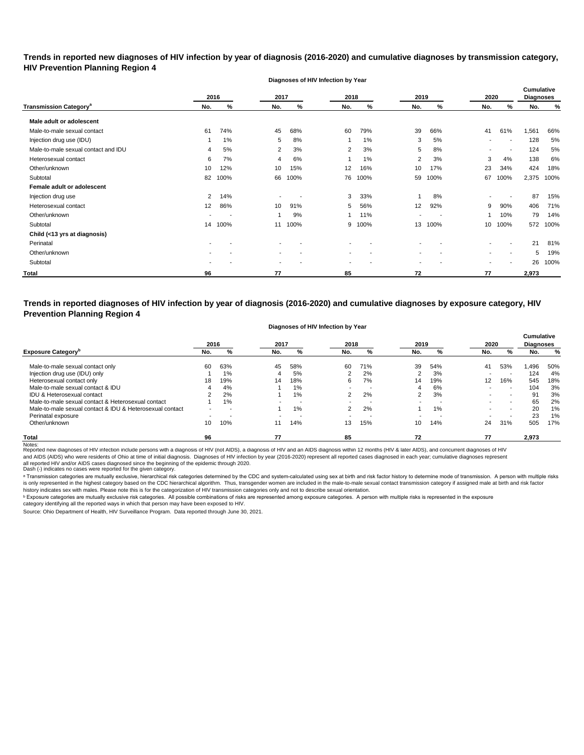**Trends in reported new diagnoses of HIV infection by year of diagnosis (2016-2020) and cumulative diagnoses by transmission category, HIV Prevention Planning Region 4**

**Diagnoses of HIV Infection by Year**

|                                          |                | 2016           | 2017                     |                          | 2018                     |      | 2019           |                          | 2020                     |                          | <b>Cumulative</b><br><b>Diagnoses</b> |      |
|------------------------------------------|----------------|----------------|--------------------------|--------------------------|--------------------------|------|----------------|--------------------------|--------------------------|--------------------------|---------------------------------------|------|
| <b>Transmission Category<sup>a</sup></b> | No.            | %              | No.                      | %                        | No.                      | %    | No.            | %                        | No.                      | %                        | No.                                   | %    |
| Male adult or adolescent                 |                |                |                          |                          |                          |      |                |                          |                          |                          |                                       |      |
| Male-to-male sexual contact              | 61             | 74%            | 45                       | 68%                      | 60                       | 79%  | 39             | 66%                      | 41                       | 61%                      | 1,561                                 | 66%  |
| Injection drug use (IDU)                 |                | 1%             | 5                        | 8%                       |                          | 1%   | 3              | 5%                       | $\,$                     |                          | 128                                   | 5%   |
| Male-to-male sexual contact and IDU      | 4              | 5%             | 2                        | 3%                       | 2                        | 3%   | 5              | 8%                       | $\blacksquare$           |                          | 124                                   | 5%   |
| Heterosexual contact                     | 6              | 7%             | 4                        | 6%                       |                          | 1%   | 2              | 3%                       | 3                        | 4%                       | 138                                   | 6%   |
| Other/unknown                            | 10             | 12%            | 10                       | 15%                      | 12                       | 16%  | 10             | 17%                      | 23                       | 34%                      | 424                                   | 18%  |
| Subtotal                                 | 82             | 100%           | 66                       | 100%                     | 76                       | 100% | 59             | 100%                     | 67                       | 100%                     | 2,375                                 | 100% |
| Female adult or adolescent               |                |                |                          |                          |                          |      |                |                          |                          |                          |                                       |      |
| Injection drug use                       | $\overline{2}$ | 14%            | $\sim$                   |                          | 3                        | 33%  |                | 8%                       | $\blacksquare$           |                          | 87                                    | 15%  |
| Heterosexual contact                     | 12             | 86%            | 10                       | 91%                      | 5                        | 56%  | 12             | 92%                      | 9                        | 90%                      | 406                                   | 71%  |
| Other/unknown                            |                | $\blacksquare$ |                          | 9%                       |                          | 11%  | $\blacksquare$ | $\overline{\phantom{a}}$ | 1                        | 10%                      | 79                                    | 14%  |
| Subtotal                                 | 14             | 100%           | 11                       | 100%                     | 9                        | 100% | 13             | 100%                     | 10                       | 100%                     | 572                                   | 100% |
| Child (<13 yrs at diagnosis)             |                |                |                          |                          |                          |      |                |                          |                          |                          |                                       |      |
| Perinatal                                |                |                |                          |                          |                          |      |                |                          |                          |                          | 21                                    | 81%  |
| Other/unknown                            |                |                | $\,$ $\,$                | $\overline{\phantom{a}}$ | $\blacksquare$           |      | $\,$           |                          | $\overline{\phantom{a}}$ | $\blacksquare$           | 5                                     | 19%  |
| Subtotal                                 |                |                | $\overline{\phantom{a}}$ |                          | $\overline{\phantom{a}}$ |      | $\blacksquare$ |                          | $\blacksquare$           | $\overline{\phantom{a}}$ | 26                                    | 100% |
| Total                                    | 96             |                | 77                       |                          | 85                       |      | 72             |                          | 77                       |                          | 2,973                                 |      |

**Trends in reported diagnoses of HIV infection by year of diagnosis (2016-2020) and cumulative diagnoses by exposure category, HIV Prevention Planning Region 4**

#### **Diagnoses of HIV Infection by Year**

|                                                          | 2016 |     | 2017 |                          | 2018                     |     | 2019 |     | 2020              |                          | <b>Cumulative</b><br><b>Diagnoses</b> |       |
|----------------------------------------------------------|------|-----|------|--------------------------|--------------------------|-----|------|-----|-------------------|--------------------------|---------------------------------------|-------|
| <b>Exposure Category</b> <sup>p</sup>                    | No.  | %   | No.  | %                        | No.                      | %   | No.  | %   | No.               | %                        | No.                                   | %     |
| Male-to-male sexual contact only                         | 60   | 63% | 45   | 58%                      | 60                       | 71% | 39   | 54% | 41                | 53%                      | .496                                  | 50%   |
| Injection drug use (IDU) only                            |      | 1%  | 4    | 5%                       | ◠                        | 2%  | ົ    | 3%  |                   | . .                      | 124                                   | 4%    |
| Heterosexual contact only                                | 18   | 19% | 14   | 18%                      | 6                        | 7%  | 14   | 19% | $12 \overline{ }$ | 16%                      | 545                                   | 18%   |
| Male-to-male sexual contact & IDU                        |      | 4%  |      | 1%                       | $\overline{\phantom{a}}$ | -   | 4    | 6%  |                   | $\overline{\phantom{0}}$ | 104                                   | 3%    |
| IDU & Heterosexual contact                               |      | 2%  |      | $1\%$                    | 2                        | 2%  | ົ    | 3%  |                   | $\overline{\phantom{0}}$ | 91                                    | 3%    |
| Male-to-male sexual contact & Heterosexual contact       |      | 1%  |      | . .                      |                          |     |      |     |                   |                          | 65                                    | 2%    |
| Male-to-male sexual contact & IDU & Heterosexual contact |      |     |      | $1\%$                    | 2                        | 2%  |      | 1%  |                   | $\overline{\phantom{0}}$ | 20                                    | $1\%$ |
| Perinatal exposure                                       |      |     | -    | $\overline{\phantom{a}}$ | $\blacksquare$           | -   |      |     |                   |                          | 23                                    | 1%    |
| Other/unknown                                            | 10   | 10% |      | 14%                      | 13                       | 15% | 10   | 14% | 24                | 31%                      | 505                                   | 17%   |
| <b>Total</b>                                             | 96   |     | 77   |                          | 85                       |     | 72   |     | 77                |                          | 2,973                                 |       |

Notes:<br>Reported new diagnoses of HIV infection include persons with a diagnosis of HIV (not AIDS), a diagnosis of HIV and an AIDS diagnosis within 12 months (HIV & later AIDS), and concurrent diagnoses of HIV and AIDS (AIDS) who were residents of Ohio at time of initial diagnosis. Diagnoses of HIV infection by year (2016-2020) represent all reported cases diagnosed in each year; cumulative diagnoses represent

all reported HIV and/or AIDS cases diagnosed since the beginning of the epidemic through 2020.<br>Dash (-) indicates no cases were reported for the given category.

a Transmission categories are mutually exclusive, hierarchical risk categories determined by the CDC and system-calculated using sex at birth and risk factor history to determine mode of transmission. A person with multipl is only represented in the highest category based on the CDC hierarchical algorithm. Thus, transgender women are included in the male-to-male sexual contact transmission category if assigned male at birth and risk factor history indicates sex with males. Please note this is for the categorization of HIV transmission categories only and not to describe sexual orientation.

 $^{\rm b}$  Exposure categories are mutually exclusive risk categories. All possible combinations of risks are represented among exposure categories. A person with multiple risks is represented in the exposure

category identifying all the reported ways in which that person may have been exposed to HIV.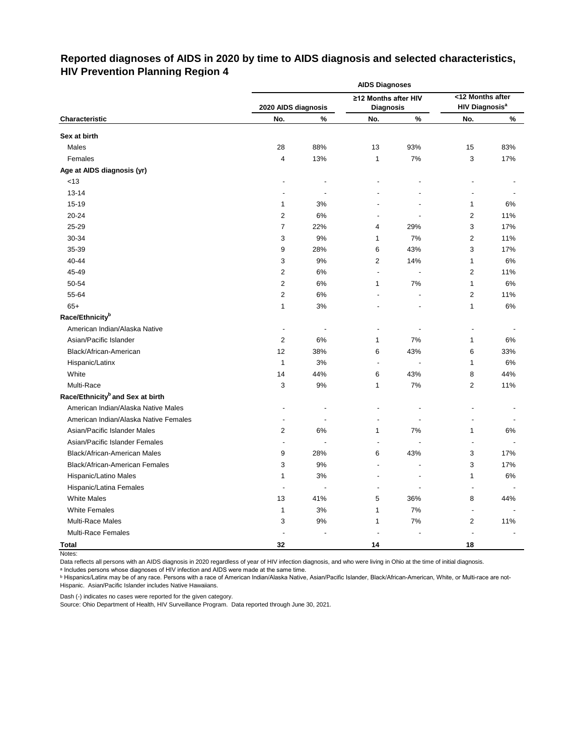# **Reported diagnoses of AIDS in 2020 by time to AIDS diagnosis and selected characteristics, HIV Prevention Planning Region 4**

|                                              | <b>AIDS Diagnoses</b>    |      |                          |                |                                  |     |  |  |  |  |
|----------------------------------------------|--------------------------|------|--------------------------|----------------|----------------------------------|-----|--|--|--|--|
|                                              |                          |      | ≥12 Months after HIV     |                | <12 Months after                 |     |  |  |  |  |
|                                              | 2020 AIDS diagnosis      |      | <b>Diagnosis</b>         |                | <b>HIV Diagnosis<sup>a</sup></b> |     |  |  |  |  |
| Characteristic                               | No.                      | $\%$ | No.                      | $\%$           | No.                              | %   |  |  |  |  |
| Sex at birth                                 |                          |      |                          |                |                                  |     |  |  |  |  |
| Males                                        | 28                       | 88%  | 13                       | 93%            | 15                               | 83% |  |  |  |  |
| Females                                      | 4                        | 13%  | 1                        | 7%             | 3                                | 17% |  |  |  |  |
| Age at AIDS diagnosis (yr)                   |                          |      |                          |                |                                  |     |  |  |  |  |
| < 13                                         |                          |      |                          |                |                                  |     |  |  |  |  |
| $13 - 14$                                    |                          |      |                          |                |                                  |     |  |  |  |  |
| 15-19                                        | 1                        | 3%   |                          |                | 1                                | 6%  |  |  |  |  |
| 20-24                                        | $\overline{c}$           | 6%   |                          |                | 2                                | 11% |  |  |  |  |
| 25-29                                        | 7                        | 22%  | 4                        | 29%            | 3                                | 17% |  |  |  |  |
| 30-34                                        | 3                        | 9%   | $\mathbf{1}$             | 7%             | 2                                | 11% |  |  |  |  |
| 35-39                                        | 9                        | 28%  | 6                        | 43%            | 3                                | 17% |  |  |  |  |
| 40-44                                        | 3                        | 9%   | 2                        | 14%            | 1                                | 6%  |  |  |  |  |
| 45-49                                        | $\overline{c}$           | 6%   | ä,                       | $\blacksquare$ | 2                                | 11% |  |  |  |  |
| 50-54                                        | $\overline{c}$           | 6%   | $\mathbf{1}$             | 7%             | 1                                | 6%  |  |  |  |  |
| 55-64                                        | $\overline{c}$           | 6%   |                          |                | 2                                | 11% |  |  |  |  |
| $65+$                                        | 1                        | 3%   |                          |                | 1                                | 6%  |  |  |  |  |
| Race/Ethnicity <sup>b</sup>                  |                          |      |                          |                |                                  |     |  |  |  |  |
| American Indian/Alaska Native                | $\overline{\phantom{a}}$ |      | $\overline{\phantom{a}}$ |                | $\overline{\phantom{a}}$         |     |  |  |  |  |
| Asian/Pacific Islander                       | 2                        | 6%   | 1                        | 7%             | 1                                | 6%  |  |  |  |  |
| Black/African-American                       | 12                       | 38%  | 6                        | 43%            | 6                                | 33% |  |  |  |  |
| Hispanic/Latinx                              | $\mathbf{1}$             | 3%   | $\blacksquare$           |                | 1                                | 6%  |  |  |  |  |
| White                                        | 14                       | 44%  | 6                        | 43%            | 8                                | 44% |  |  |  |  |
| Multi-Race                                   | 3                        | 9%   | $\mathbf{1}$             | 7%             | 2                                | 11% |  |  |  |  |
| Race/Ethnicity <sup>b</sup> and Sex at birth |                          |      |                          |                |                                  |     |  |  |  |  |
| American Indian/Alaska Native Males          |                          |      |                          |                |                                  |     |  |  |  |  |
| American Indian/Alaska Native Females        |                          |      |                          |                |                                  |     |  |  |  |  |
| Asian/Pacific Islander Males                 | 2                        | 6%   | $\mathbf{1}$             | 7%             | 1                                | 6%  |  |  |  |  |
| Asian/Pacific Islander Females               |                          |      |                          |                |                                  |     |  |  |  |  |
| Black/African-American Males                 | 9                        | 28%  | 6                        | 43%            | 3                                | 17% |  |  |  |  |
| <b>Black/African-American Females</b>        | 3                        | 9%   | $\blacksquare$           |                | 3                                | 17% |  |  |  |  |
| Hispanic/Latino Males                        | 1                        | $3%$ |                          |                | 1                                | 6%  |  |  |  |  |
| Hispanic/Latina Females                      | $\overline{\phantom{a}}$ |      |                          |                |                                  |     |  |  |  |  |
| <b>White Males</b>                           | 13                       | 41%  | 5                        | 36%            | 8                                | 44% |  |  |  |  |
| <b>White Females</b>                         | 1                        | $3%$ | 1                        | 7%             |                                  |     |  |  |  |  |
| Multi-Race Males                             | 3                        | $9%$ | 1                        | $7\%$          | 2                                | 11% |  |  |  |  |
| Multi-Race Females                           |                          |      |                          |                |                                  |     |  |  |  |  |
| <b>Total</b>                                 | 32                       |      | 14                       |                | 18                               |     |  |  |  |  |

Notes:

Data reflects all persons with an AIDS diagnosis in 2020 regardless of year of HIV infection diagnosis, and who were living in Ohio at the time of initial diagnosis.

ᵃ Includes persons whose diagnoses of HIV infection and AIDS were made at the same time.

<u>b Hispanics/Latinx may be of any race. Persons with a race of American Indian/Alaska Native, Asian/Pacific Islander, Black/African-American, White, or Multi-race are not-</u> Hispanic. Asian/Pacific Islander includes Native Hawaiians.

Dash (-) indicates no cases were reported for the given category.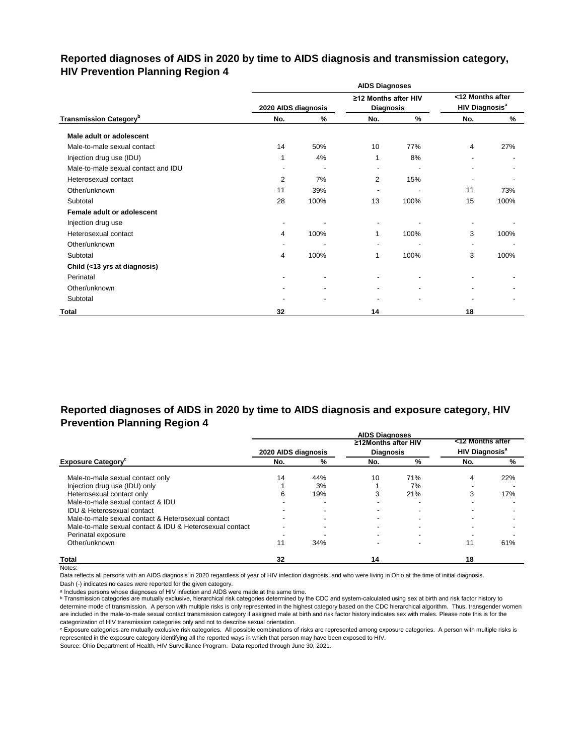# **Reported diagnoses of AIDS in 2020 by time to AIDS diagnosis and transmission category, HIV Prevention Planning Region 4**

|                                           |                     |                          | <b>AIDS Diagnoses</b>                    |      |                                                      |      |
|-------------------------------------------|---------------------|--------------------------|------------------------------------------|------|------------------------------------------------------|------|
|                                           | 2020 AIDS diagnosis |                          | ≥12 Months after HIV<br><b>Diagnosis</b> |      | <12 Months after<br><b>HIV Diagnosis<sup>a</sup></b> |      |
| <b>Transmission Category</b> <sup>b</sup> | No.                 | %                        | No.                                      | $\%$ | No.                                                  | $\%$ |
| Male adult or adolescent                  |                     |                          |                                          |      |                                                      |      |
| Male-to-male sexual contact               | 14                  | 50%                      | 10                                       | 77%  | 4                                                    | 27%  |
| Injection drug use (IDU)                  |                     | 4%                       | 1                                        | 8%   |                                                      |      |
| Male-to-male sexual contact and IDU       |                     | $\overline{\phantom{a}}$ | $\blacksquare$                           |      |                                                      |      |
| Heterosexual contact                      | 2                   | 7%                       | 2                                        | 15%  |                                                      |      |
| Other/unknown                             | 11                  | 39%                      | $\blacksquare$                           |      | 11                                                   | 73%  |
| Subtotal                                  | 28                  | 100%                     | 13                                       | 100% | 15                                                   | 100% |
| Female adult or adolescent                |                     |                          |                                          |      |                                                      |      |
| Injection drug use                        |                     |                          |                                          |      |                                                      |      |
| Heterosexual contact                      | 4                   | 100%                     | 1                                        | 100% | 3                                                    | 100% |
| Other/unknown                             |                     |                          | $\blacksquare$                           |      | $\overline{\phantom{a}}$                             |      |
| Subtotal                                  | 4                   | 100%                     | 1                                        | 100% | 3                                                    | 100% |
| Child (<13 yrs at diagnosis)              |                     |                          |                                          |      |                                                      |      |
| Perinatal                                 |                     |                          |                                          |      |                                                      |      |
| Other/unknown                             |                     |                          |                                          |      |                                                      |      |
| Subtotal                                  |                     |                          |                                          |      |                                                      |      |
| <b>Total</b>                              | 32                  |                          | 14                                       |      | 18                                                   |      |

# **Reported diagnoses of AIDS in 2020 by time to AIDS diagnosis and exposure category, HIV Prevention Planning Region 4**

|                                                          |                     |     | <b>AIDS Diagnoses</b> |     |                                  |     |
|----------------------------------------------------------|---------------------|-----|-----------------------|-----|----------------------------------|-----|
|                                                          |                     |     | ≥12Months after HIV   |     | <12 Months after                 |     |
|                                                          | 2020 AIDS diagnosis |     | <b>Diagnosis</b>      |     | <b>HIV Diagnosis<sup>a</sup></b> |     |
| <b>Exposure Category</b>                                 | No.                 | %   | No.                   | %   | No.                              | %   |
| Male-to-male sexual contact only                         | 14                  | 44% | 10                    | 71% | 4                                | 22% |
| Injection drug use (IDU) only                            |                     | 3%  |                       | 7%  |                                  |     |
| Heterosexual contact only                                | 6                   | 19% |                       | 21% | 3                                | 17% |
| Male-to-male sexual contact & IDU                        |                     |     |                       |     |                                  |     |
| <b>IDU &amp; Heterosexual contact</b>                    |                     |     |                       |     |                                  |     |
| Male-to-male sexual contact & Heterosexual contact       |                     |     |                       |     |                                  |     |
| Male-to-male sexual contact & IDU & Heterosexual contact |                     |     |                       |     |                                  |     |
| Perinatal exposure                                       |                     |     |                       |     |                                  |     |
| Other/unknown                                            | 11                  | 34% |                       |     | 11                               | 61% |
| <b>Total</b>                                             | 32                  |     | 14                    |     | 18                               |     |

Notes:

Data reflects all persons with an AIDS diagnosis in 2020 regardless of year of HIV infection diagnosis, and who were living in Ohio at the time of initial diagnosis.

Dash (-) indicates no cases were reported for the given category.

a Includes persons whose diagnoses of HIV infection and AIDS were made at the same time.

**b** Transmission categories are mutually exclusive, hierarchical risk categories determined by the CDC and system-calculated using sex at birth and risk factor history to determine mode of transmission. A person with multiple risks is only represented in the highest category based on the CDC hierarchical algorithm. Thus, transgender women are included in the male-to-male sexual contact transmission category if assigned male at birth and risk factor history indicates sex with males. Please note this is for the categorization of HIV transmission categories only and not to describe sexual orientation.

ᶜ Exposure categories are mutually exclusive risk categories. All possible combinations of risks are represented among exposure categories. A person with multiple risks is represented in the exposure category identifying all the reported ways in which that person may have been exposed to HIV.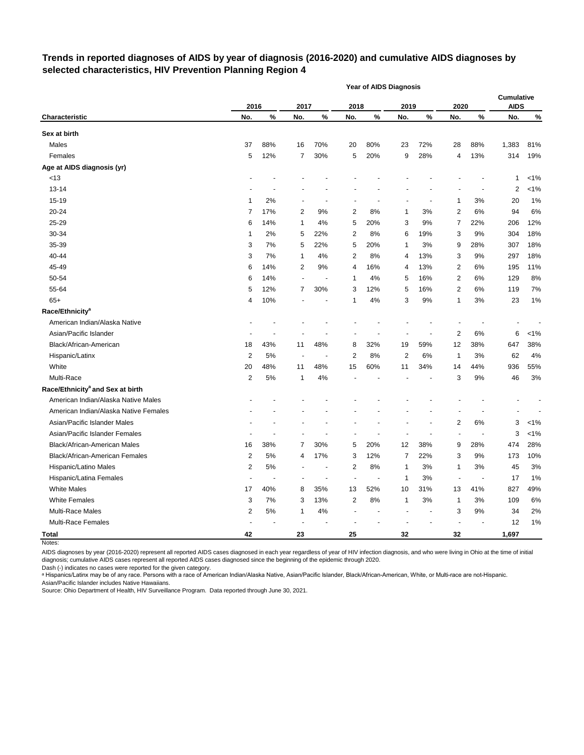# **Trends in reported diagnoses of AIDS by year of diagnosis (2016-2020) and cumulative AIDS diagnoses by selected characteristics, HIV Prevention Planning Region 4**

|                                              |                |      |      |                          |                          | <b>Year of AIDS Diagnosis</b> |              |                |                |       |                                  |         |
|----------------------------------------------|----------------|------|------|--------------------------|--------------------------|-------------------------------|--------------|----------------|----------------|-------|----------------------------------|---------|
|                                              | 2016           |      | 2017 |                          | 2018                     |                               | 2019         |                | 2020           |       | <b>Cumulative</b><br><b>AIDS</b> |         |
| <b>Characteristic</b>                        | No.            | $\%$ | No.  | $\%$                     | No.                      | $\%$                          | No.          | %              | No.            | %     | No.                              | $\%$    |
| Sex at birth                                 |                |      |      |                          |                          |                               |              |                |                |       |                                  |         |
| Males                                        | 37             | 88%  | 16   | 70%                      | 20                       | 80%                           | 23           | 72%            | 28             | 88%   | 1,383                            | 81%     |
| Females                                      | 5              | 12%  | 7    | 30%                      | 5                        | 20%                           | 9            | 28%            | 4              | 13%   | 314                              | 19%     |
| Age at AIDS diagnosis (yr)                   |                |      |      |                          |                          |                               |              |                |                |       |                                  |         |
| < 13                                         |                |      |      |                          |                          |                               |              |                |                |       | 1                                | $< 1\%$ |
| 13-14                                        |                |      |      |                          |                          |                               |              |                |                |       | 2                                | $< 1\%$ |
| 15-19                                        | 1              | 2%   |      |                          |                          |                               |              | $\blacksquare$ | 1              | 3%    | 20                               | 1%      |
| 20-24                                        | 7              | 17%  | 2    | 9%                       | 2                        | 8%                            | 1            | 3%             | 2              | 6%    | 94                               | 6%      |
| 25-29                                        | 6              | 14%  | 1    | 4%                       | 5                        | 20%                           | 3            | 9%             | 7              | 22%   | 206                              | 12%     |
| 30-34                                        | 1              | 2%   | 5    | 22%                      | 2                        | 8%                            | 6            | 19%            | 3              | 9%    | 304                              | 18%     |
| 35-39                                        | 3              | 7%   | 5    | 22%                      | 5                        | 20%                           | 1            | 3%             | 9              | 28%   | 307                              | 18%     |
| 40-44                                        | 3              | 7%   | 1    | 4%                       | 2                        | 8%                            | 4            | 13%            | 3              | 9%    | 297                              | 18%     |
| 45-49                                        | 6              | 14%  | 2    | 9%                       | 4                        | 16%                           | 4            | 13%            | 2              | 6%    | 195                              | 11%     |
| 50-54                                        | 6              | 14%  |      | $\overline{\phantom{a}}$ | 1                        | 4%                            | 5            | 16%            | 2              | 6%    | 129                              | 8%      |
| 55-64                                        | 5              | 12%  | 7    | 30%                      | 3                        | 12%                           | 5            | 16%            | 2              | 6%    | 119                              | 7%      |
| $65+$                                        | 4              | 10%  |      |                          | 1                        | 4%                            | 3            | 9%             | 1              | 3%    | 23                               | 1%      |
| Race/Ethnicity <sup>a</sup>                  |                |      |      |                          |                          |                               |              |                |                |       |                                  |         |
| American Indian/Alaska Native                |                |      |      |                          |                          |                               |              |                |                |       |                                  |         |
| Asian/Pacific Islander                       |                |      |      |                          |                          |                               |              |                | 2              | 6%    | 6                                | $< 1\%$ |
| Black/African-American                       | 18             | 43%  | 11   | 48%                      | 8                        | 32%                           | 19           | 59%            | 12             | 38%   | 647                              | 38%     |
| Hispanic/Latinx                              | 2              | 5%   | ÷,   | $\overline{\phantom{a}}$ | 2                        | 8%                            | 2            | 6%             | $\mathbf{1}$   | 3%    | 62                               | 4%      |
| White                                        | 20             | 48%  | 11   | 48%                      | 15                       | 60%                           | 11           | 34%            | 14             | 44%   | 936                              | 55%     |
| Multi-Race                                   | $\overline{2}$ | 5%   | 1    | 4%                       |                          |                               |              |                | 3              | 9%    | 46                               | 3%      |
| Race/Ethnicity <sup>a</sup> and Sex at birth |                |      |      |                          |                          |                               |              |                |                |       |                                  |         |
| American Indian/Alaska Native Males          |                |      |      |                          |                          |                               |              |                |                |       |                                  |         |
| American Indian/Alaska Native Females        |                |      |      |                          |                          |                               |              |                |                |       |                                  |         |
| Asian/Pacific Islander Males                 |                |      |      |                          |                          |                               |              |                | 2              | $6\%$ | 3                                | $< 1\%$ |
| Asian/Pacific Islander Females               |                |      |      |                          |                          |                               |              |                | ÷,             |       | 3                                | $< 1\%$ |
| Black/African-American Males                 | 16             | 38%  | 7    | 30%                      | 5                        | 20%                           | 12           | 38%            | 9              | 28%   | 474                              | 28%     |
| Black/African-American Females               | 2              | 5%   | 4    | 17%                      | 3                        | 12%                           | 7            | 22%            | 3              | 9%    | 173                              | 10%     |
| Hispanic/Latino Males                        | $\mathbf{z}$   | 5%   |      |                          | 2                        | 8%                            | 1            | 3%             | 1              | 3%    | 45                               | $3%$    |
| Hispanic/Latina Females                      | $\blacksquare$ |      |      |                          | $\overline{\phantom{a}}$ |                               | 1            | 3%             |                |       | 17                               | 1%      |
| <b>White Males</b>                           | 17             | 40%  | 8    | 35%                      | 13                       | 52%                           | 10           | 31%            | 13             | 41%   | 827                              | 49%     |
| <b>White Females</b>                         | 3              | 7%   | 3    | 13%                      | 2                        | $8\%$                         | $\mathbf{1}$ | $3%$           | $\mathbf{1}$   | 3%    | 109                              | $6\%$   |
| Multi-Race Males                             | $\overline{c}$ | $5%$ | 1    | 4%                       |                          |                               |              | $\blacksquare$ | 3              | $9\%$ | 34                               | 2%      |
| Multi-Race Females                           |                |      |      |                          |                          |                               |              |                | $\blacksquare$ |       | 12                               | 1%      |
| <b>Total</b>                                 | 42             |      | 23   |                          | 25                       |                               | 32           |                | 32             |       | 1,697                            |         |

Notes:

AIDS diagnoses by year (2016-2020) represent all reported AIDS cases diagnosed in each year regardless of year of HIV infection diagnosis, and who were living in Ohio at the time of initial diagnosis; cumulative AIDS cases represent all reported AIDS cases diagnosed since the beginning of the epidemic through 2020.

Dash (-) indicates no cases were reported for the given category.

a Hispanics/Latinx may be of any race. Persons with a race of American Indian/Alaska Native, Asian/Pacific Islander, Black/African-American, White, or Multi-race are not-Hispanic. Asian/Pacific Islander includes Native Hawaiians.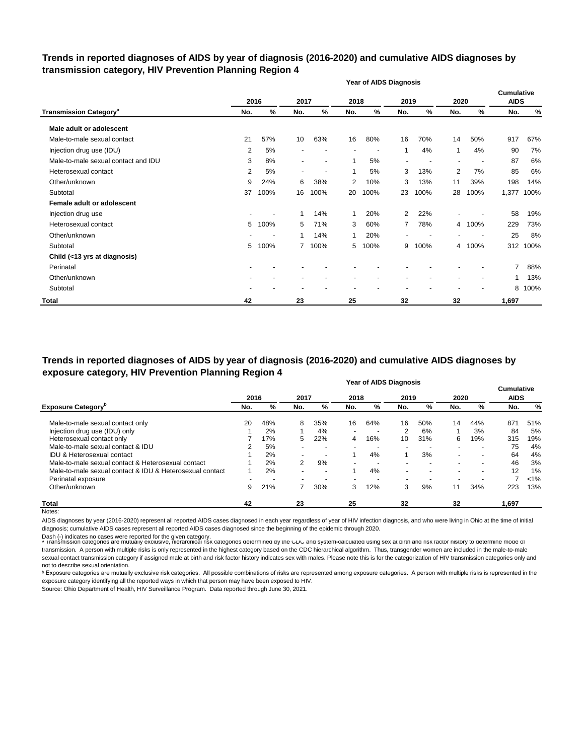## **Trends in reported diagnoses of AIDS by year of diagnosis (2016-2020) and cumulative AIDS diagnoses by transmission category, HIV Prevention Planning Region 4**

|                                          |     |      |                |                          |              | <b>Year of AIDS Diagnosis</b> |                |      |                          |      |                           |      |
|------------------------------------------|-----|------|----------------|--------------------------|--------------|-------------------------------|----------------|------|--------------------------|------|---------------------------|------|
|                                          |     | 2016 | 2017           |                          | 2018         |                               | 2019           |      | 2020                     |      | Cumulative<br><b>AIDS</b> |      |
| <b>Transmission Category<sup>a</sup></b> | No. | %    | No.            | $\%$                     | No.          | %                             | No.            | $\%$ | No.                      | %    | No.                       | %    |
| Male adult or adolescent                 |     |      |                |                          |              |                               |                |      |                          |      |                           |      |
| Male-to-male sexual contact              | 21  | 57%  | 10             | 63%                      | 16           | 80%                           | 16             | 70%  | 14                       | 50%  | 917                       | 67%  |
| Injection drug use (IDU)                 | 2   | 5%   |                | $\blacksquare$           |              |                               | 1              | 4%   | 1                        | 4%   | 90                        | 7%   |
| Male-to-male sexual contact and IDU      | 3   | 8%   | $\blacksquare$ | $\overline{\phantom{a}}$ | 1            | 5%                            | $\blacksquare$ |      | $\overline{\phantom{a}}$ |      | 87                        | 6%   |
| Heterosexual contact                     | 2   | 5%   | $\blacksquare$ |                          | 1            | 5%                            | 3              | 13%  | 2                        | 7%   | 85                        | 6%   |
| Other/unknown                            | 9   | 24%  | 6              | 38%                      | 2            | 10%                           | 3              | 13%  | 11                       | 39%  | 198                       | 14%  |
| Subtotal                                 | 37  | 100% | 16             | 100%                     | 20           | 100%                          | 23             | 100% | 28                       | 100% | 1,377                     | 100% |
| Female adult or adolescent               |     |      |                |                          |              |                               |                |      |                          |      |                           |      |
| Injection drug use                       |     |      | ٠              | 14%                      | $\mathbf{1}$ | 20%                           | 2              | 22%  |                          |      | 58                        | 19%  |
| Heterosexual contact                     | 5   | 100% | 5              | 71%                      | 3            | 60%                           | 7              | 78%  | 4                        | 100% | 229                       | 73%  |
| Other/unknown                            |     |      |                | 14%                      | 1            | 20%                           |                |      |                          |      | 25                        | 8%   |
| Subtotal                                 | 5   | 100% | $7^{\circ}$    | 100%                     | 5            | 100%                          | 9              | 100% | 4                        | 100% | 312                       | 100% |
| Child (<13 yrs at diagnosis)             |     |      |                |                          |              |                               |                |      |                          |      |                           |      |
| Perinatal                                |     |      |                |                          |              |                               |                |      |                          |      | $\overline{7}$            | 88%  |
| Other/unknown                            |     |      |                |                          |              |                               |                |      |                          |      |                           | 13%  |
| Subtotal                                 |     |      |                |                          |              |                               |                |      |                          |      | 8                         | 100% |
| <b>Total</b>                             | 42  |      | 23             |                          | 25           |                               | 32             |      | 32                       |      | 1,697                     |      |

**Year of AIDS Diagnosis Trends in reported diagnoses of AIDS by year of diagnosis (2016-2020) and cumulative AIDS diagnoses by exposure category, HIV Prevention Planning Region 4**

|                                                          |      |       |                          |                          |        | <b>אסווען טעורן ו</b> ט ווס |                          |                          |                          |                          | <b>Cumulative</b> |         |
|----------------------------------------------------------|------|-------|--------------------------|--------------------------|--------|-----------------------------|--------------------------|--------------------------|--------------------------|--------------------------|-------------------|---------|
|                                                          | 2016 |       | 2017                     |                          | 2018   |                             | 2019                     |                          | 2020                     |                          | <b>AIDS</b>       |         |
| <b>Exposure Category</b> <sup>b</sup>                    | No.  | %     | No.                      | %                        | No.    | %                           | No.                      | %                        | No.                      | %                        | No.               | %       |
| Male-to-male sexual contact only                         | 20   | 48%   | 8                        | 35%                      | 16     | 64%                         | 16                       | 50%                      | 14                       | 44%                      | 871               | 51%     |
| Injection drug use (IDU) only                            |      | 2%    |                          | 4%                       | $\sim$ | $\overline{\phantom{a}}$    | 2                        | 6%                       |                          | 3%                       | 84                | 5%      |
| Heterosexual contact only                                |      | 17%   | 5                        | 22%                      | 4      | 16%                         | 10                       | 31%                      | 6                        | 19%                      | 315               | 19%     |
| Male-to-male sexual contact & IDU                        |      | 5%    |                          | $\overline{\phantom{0}}$ |        |                             | -                        | . .                      | -                        | -                        | 75                | 4%      |
| <b>IDU &amp; Heterosexual contact</b>                    |      | 2%    | $\overline{\phantom{0}}$ | $\overline{\phantom{a}}$ |        | 4%                          |                          | 3%                       | $\blacksquare$           | $\overline{\phantom{a}}$ | 64                | 4%      |
| Male-to-male sexual contact & Heterosexual contact       |      | 2%    | $\overline{2}$           | 9%                       |        |                             |                          |                          | ۰.                       |                          | 46                | 3%      |
| Male-to-male sexual contact & IDU & Heterosexual contact |      | $2\%$ |                          | $\overline{\phantom{a}}$ |        | 4%                          | $\overline{\phantom{a}}$ | $\overline{\phantom{a}}$ | $\overline{\phantom{a}}$ | ۰                        | 12                | 1%      |
| Perinatal exposure                                       |      |       |                          |                          |        |                             |                          |                          | $\overline{\phantom{a}}$ |                          |                   | $< 1\%$ |
| Other/unknown                                            | 9    | 21%   |                          | 30%                      | 3      | 12%                         | 3                        | 9%                       | 11                       | 34%                      | 223               | 13%     |
| Total                                                    | 42   |       | 23                       |                          | 25     |                             | 32                       |                          | 32                       |                          | 1,697             |         |
| Notes:                                                   |      |       |                          |                          |        |                             |                          |                          |                          |                          |                   |         |

AIDS diagnoses by year (2016-2020) represent all reported AIDS cases diagnosed in each year regardless of year of HIV infection diagnosis, and who were living in Ohio at the time of initial diagnosis; cumulative AIDS cases represent all reported AIDS cases diagnosed since the beginning of the epidemic through 2020.

Dash (-) indicates no cases were reported for the given category.<br>◎ Transmission categories are mutually exclusive, nierarcnical risk categories determined by the CDC and system-calculated using sex at birth and risk ract transmission. A person with multiple risks is only represented in the highest category based on the CDC hierarchical algorithm. Thus, transgender women are included in the male-to-male sexual contact transmission category if assigned male at birth and risk factor history indicates sex with males. Please note this is for the categorization of HIV transmission categories only and not to describe sexual orientation.

**b** Exposure categories are mutually exclusive risk categories. All possible combinations of risks are represented among exposure categories. A person with multiple risks is represented in the exposure category identifying all the reported ways in which that person may have been exposed to HIV.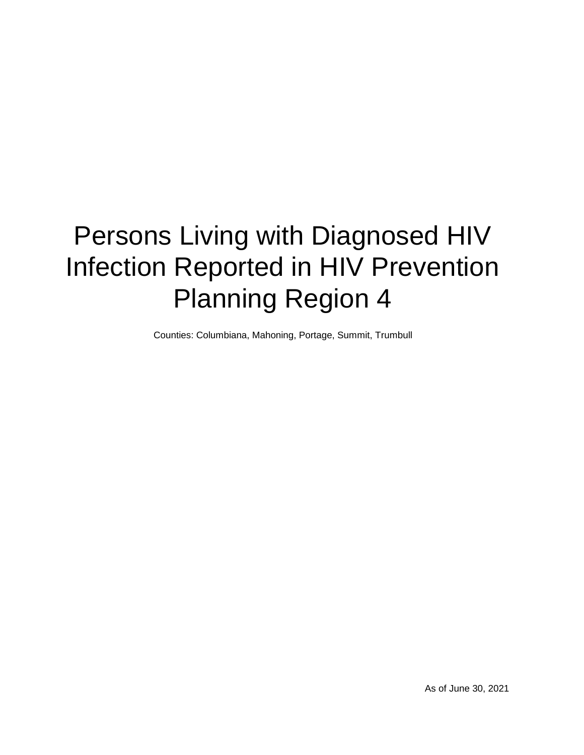# Persons Living with Diagnosed HIV Infection Reported in HIV Prevention Planning Region 4

Counties: Columbiana, Mahoning, Portage, Summit, Trumbull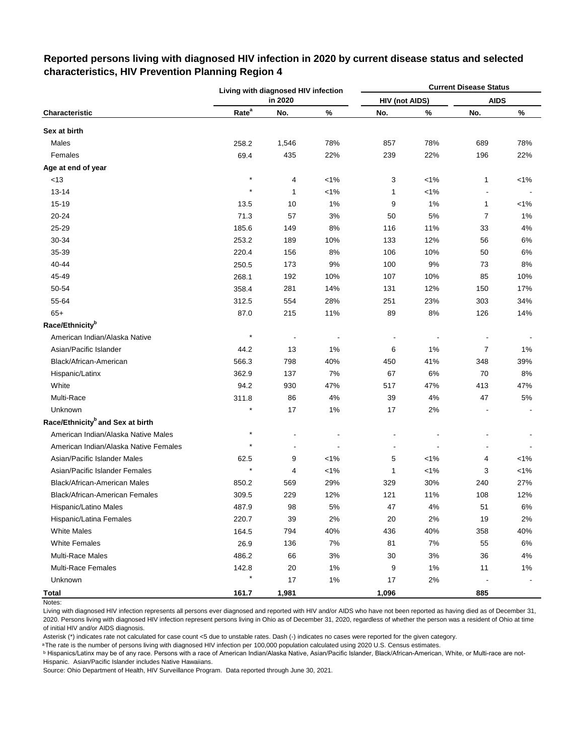|                                              |                   | Living with diagnosed HIV infection |         |                       |         | <b>Current Disease Status</b> |         |
|----------------------------------------------|-------------------|-------------------------------------|---------|-----------------------|---------|-------------------------------|---------|
|                                              |                   | in 2020                             |         | <b>HIV (not AIDS)</b> |         | <b>AIDS</b>                   |         |
| Characteristic                               | Rate <sup>a</sup> | No.                                 | %       | No.                   | $\%$    | No.                           | $\%$    |
| Sex at birth                                 |                   |                                     |         |                       |         |                               |         |
| Males                                        | 258.2             | 1,546                               | 78%     | 857                   | 78%     | 689                           | 78%     |
| Females                                      | 69.4              | 435                                 | 22%     | 239                   | 22%     | 196                           | 22%     |
| Age at end of year                           |                   |                                     |         |                       |         |                               |         |
| <13                                          | $\star$           | 4                                   | $< 1\%$ | 3                     | $< 1\%$ | 1                             | $< 1\%$ |
| $13 - 14$                                    | $\star$           | 1                                   | $< 1\%$ | 1                     | $< 1\%$ |                               |         |
| 15-19                                        | 13.5              | 10                                  | 1%      | 9                     | 1%      | $\mathbf{1}$                  | $< 1\%$ |
| 20-24                                        | 71.3              | 57                                  | 3%      | 50                    | $5%$    | 7                             | 1%      |
| 25-29                                        | 185.6             | 149                                 | 8%      | 116                   | 11%     | 33                            | 4%      |
| 30-34                                        | 253.2             | 189                                 | 10%     | 133                   | 12%     | 56                            | 6%      |
| 35-39                                        | 220.4             | 156                                 | 8%      | 106                   | 10%     | 50                            | 6%      |
| 40-44                                        | 250.5             | 173                                 | 9%      | 100                   | 9%      | 73                            | 8%      |
| 45-49                                        | 268.1             | 192                                 | 10%     | 107                   | 10%     | 85                            | 10%     |
| 50-54                                        | 358.4             | 281                                 | 14%     | 131                   | 12%     | 150                           | 17%     |
| 55-64                                        | 312.5             | 554                                 | 28%     | 251                   | 23%     | 303                           | 34%     |
| $65+$                                        | 87.0              | 215                                 | 11%     | 89                    | 8%      | 126                           | 14%     |
| Race/Ethnicity <sup>b</sup>                  |                   |                                     |         |                       |         |                               |         |
| American Indian/Alaska Native                | $\star$           |                                     |         |                       |         |                               |         |
| Asian/Pacific Islander                       | 44.2              | 13                                  | 1%      | 6                     | 1%      | 7                             | 1%      |
| Black/African-American                       | 566.3             | 798                                 | 40%     | 450                   | 41%     | 348                           | 39%     |
| Hispanic/Latinx                              | 362.9             | 137                                 | 7%      | 67                    | 6%      | 70                            | 8%      |
| White                                        | 94.2              | 930                                 | 47%     | 517                   | 47%     | 413                           | 47%     |
| Multi-Race                                   | 311.8             | 86                                  | 4%      | 39                    | 4%      | 47                            | $5\%$   |
| Unknown                                      |                   | 17                                  | 1%      | 17                    | 2%      |                               |         |
| Race/Ethnicity <sup>b</sup> and Sex at birth |                   |                                     |         |                       |         |                               |         |
| American Indian/Alaska Native Males          | $\star$           |                                     |         |                       |         |                               |         |
| American Indian/Alaska Native Females        | $\star$           | -                                   |         |                       |         |                               |         |
| Asian/Pacific Islander Males                 | 62.5              | 9                                   | $< 1\%$ | 5                     | $< 1\%$ | 4                             | $< 1\%$ |
| Asian/Pacific Islander Females               |                   | 4                                   | $< 1\%$ | $\mathbf{1}$          | $< 1\%$ | 3                             | $< 1\%$ |
| <b>Black/African-American Males</b>          | 850.2             | 569                                 | 29%     | 329                   | 30%     | 240                           | 27%     |
| Black/African-American Females               | 309.5             | 229                                 | 12%     | 121                   | 11%     | 108                           | 12%     |
| Hispanic/Latino Males                        | 487.9             | 98                                  | 5%      | 47                    | 4%      | 51                            | $6\%$   |
| Hispanic/Latina Females                      | 220.7             | 39                                  | 2%      | $20\,$                | 2%      | 19                            | 2%      |
| <b>White Males</b>                           | 164.5             | 794                                 | 40%     | 436                   | 40%     | 358                           | 40%     |
| White Females                                | 26.9              | 136                                 | 7%      | 81                    | 7%      | 55                            | 6%      |
| Multi-Race Males                             | 486.2             | 66                                  | 3%      | 30                    | 3%      | 36                            | 4%      |
| Multi-Race Females                           | 142.8             | 20                                  | $1\%$   | 9                     | 1%      | 11                            | $1\%$   |
| Unknown                                      |                   | 17                                  | $1\%$   | 17                    | 2%      | $\blacksquare$                |         |
| <b>Total</b>                                 | 161.7             | 1,981                               |         | 1,096                 |         | 885                           |         |

# **Reported persons living with diagnosed HIV infection in 2020 by current disease status and selected characteristics, HIV Prevention Planning Region 4**

Living with diagnosed HIV infection represents all persons ever diagnosed and reported with HIV and/or AIDS who have not been reported as having died as of December 31, 2020. Persons living with diagnosed HIV infection represent persons living in Ohio as of December 31, 2020, regardless of whether the person was a resident of Ohio at time of initial HIV and/or AIDS diagnosis.

Asterisk (\*) indicates rate not calculated for case count <5 due to unstable rates. Dash (-) indicates no cases were reported for the given category.

a The rate is the number of persons living with diagnosed HIV infection per 100,000 population calculated using 2020 U.S. Census estimates.

ᵇ Hispanics/Latinx may be of any race. Persons with a race of American Indian/Alaska Native, Asian/Pacific Islander, Black/African-American, White, or Multi-race are not-Hispanic. Asian/Pacific Islander includes Native Hawaiians.

Notes: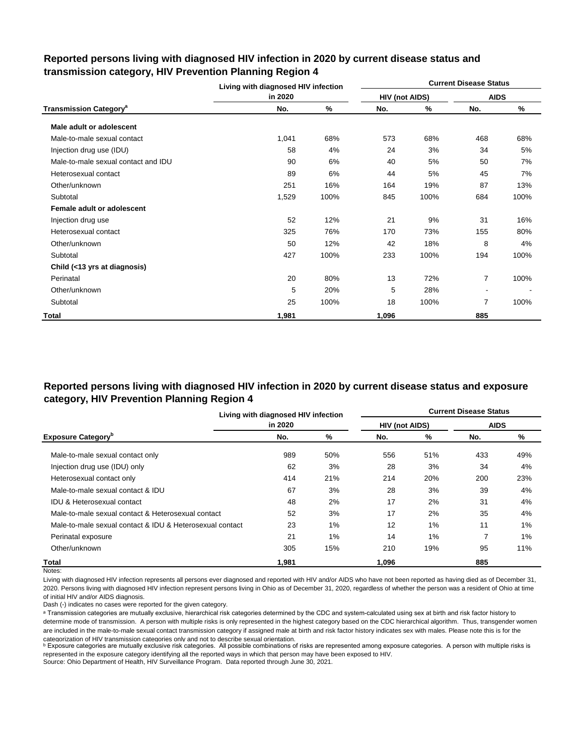|                                          | Living with diagnosed HIV infection |      |                |      | <b>Current Disease Status</b> |      |
|------------------------------------------|-------------------------------------|------|----------------|------|-------------------------------|------|
|                                          | in 2020                             |      | HIV (not AIDS) |      | <b>AIDS</b>                   |      |
| <b>Transmission Category<sup>a</sup></b> | No.                                 | ℅    | No.            | %    | No.                           | %    |
| Male adult or adolescent                 |                                     |      |                |      |                               |      |
| Male-to-male sexual contact              | 1,041                               | 68%  | 573            | 68%  | 468                           | 68%  |
| Injection drug use (IDU)                 | 58                                  | 4%   | 24             | 3%   | 34                            | 5%   |
| Male-to-male sexual contact and IDU      | 90                                  | 6%   | 40             | 5%   | 50                            | 7%   |
| Heterosexual contact                     | 89                                  | 6%   | 44             | 5%   | 45                            | 7%   |
| Other/unknown                            | 251                                 | 16%  | 164            | 19%  | 87                            | 13%  |
| Subtotal                                 | 1,529                               | 100% | 845            | 100% | 684                           | 100% |
| Female adult or adolescent               |                                     |      |                |      |                               |      |
| Injection drug use                       | 52                                  | 12%  | 21             | 9%   | 31                            | 16%  |
| Heterosexual contact                     | 325                                 | 76%  | 170            | 73%  | 155                           | 80%  |
| Other/unknown                            | 50                                  | 12%  | 42             | 18%  | 8                             | 4%   |
| Subtotal                                 | 427                                 | 100% | 233            | 100% | 194                           | 100% |
| Child (<13 yrs at diagnosis)             |                                     |      |                |      |                               |      |
| Perinatal                                | 20                                  | 80%  | 13             | 72%  | 7                             | 100% |
| Other/unknown                            | 5                                   | 20%  | 5              | 28%  |                               |      |
| Subtotal                                 | 25                                  | 100% | 18             | 100% | 7                             | 100% |
| Total                                    | 1,981                               |      | 1,096          |      | 885                           |      |

## **Reported persons living with diagnosed HIV infection in 2020 by current disease status and transmission category, HIV Prevention Planning Region 4**

# **Reported persons living with diagnosed HIV infection in 2020 by current disease status and exposure category, HIV Prevention Planning Region 4**

|                                                          | Living with diagnosed HIV infection |     |                       |     | <b>Current Disease Status</b> |       |
|----------------------------------------------------------|-------------------------------------|-----|-----------------------|-----|-------------------------------|-------|
|                                                          | in 2020                             |     | <b>HIV (not AIDS)</b> |     | <b>AIDS</b>                   |       |
| <b>Exposure Category</b> <sup>b</sup>                    | No.                                 | %   | No.                   | %   | No.                           | %     |
| Male-to-male sexual contact only                         | 989                                 | 50% | 556                   | 51% | 433                           | 49%   |
| Injection drug use (IDU) only                            | 62                                  | 3%  | 28                    | 3%  | 34                            | 4%    |
| Heterosexual contact only                                | 414                                 | 21% | 214                   | 20% | 200                           | 23%   |
| Male-to-male sexual contact & IDU                        | 67                                  | 3%  | 28                    | 3%  | 39                            | 4%    |
| <b>IDU &amp; Heterosexual contact</b>                    | 48                                  | 2%  | 17                    | 2%  | 31                            | 4%    |
| Male-to-male sexual contact & Heterosexual contact       | 52                                  | 3%  | 17                    | 2%  | 35                            | 4%    |
| Male-to-male sexual contact & IDU & Heterosexual contact | 23                                  | 1%  | 12                    | 1%  | 11                            | $1\%$ |
| Perinatal exposure                                       | 21                                  | 1%  | 14                    | 1%  | 7                             | 1%    |
| Other/unknown                                            | 305                                 | 15% | 210                   | 19% | 95                            | 11%   |
| Total                                                    | 1.981                               |     | 1.096                 |     | 885                           |       |

Notes:

Living with diagnosed HIV infection represents all persons ever diagnosed and reported with HIV and/or AIDS who have not been reported as having died as of December 31, 2020. Persons living with diagnosed HIV infection represent persons living in Ohio as of December 31, 2020, regardless of whether the person was a resident of Ohio at time of initial HIV and/or AIDS diagnosis.

Dash (-) indicates no cases were reported for the given category.

a Transmission categories are mutually exclusive, hierarchical risk categories determined by the CDC and system-calculated using sex at birth and risk factor history to determine mode of transmission. A person with multiple risks is only represented in the highest category based on the CDC hierarchical algorithm. Thus, transgender women are included in the male-to-male sexual contact transmission category if assigned male at birth and risk factor history indicates sex with males. Please note this is for the categorization of HIV transmission categories only and not to describe sexual orientation.

**b** Exposure categories are mutually exclusive risk categories. All possible combinations of risks are represented among exposure categories. A person with multiple risks is represented in the exposure category identifying all the reported ways in which that person may have been exposed to HIV.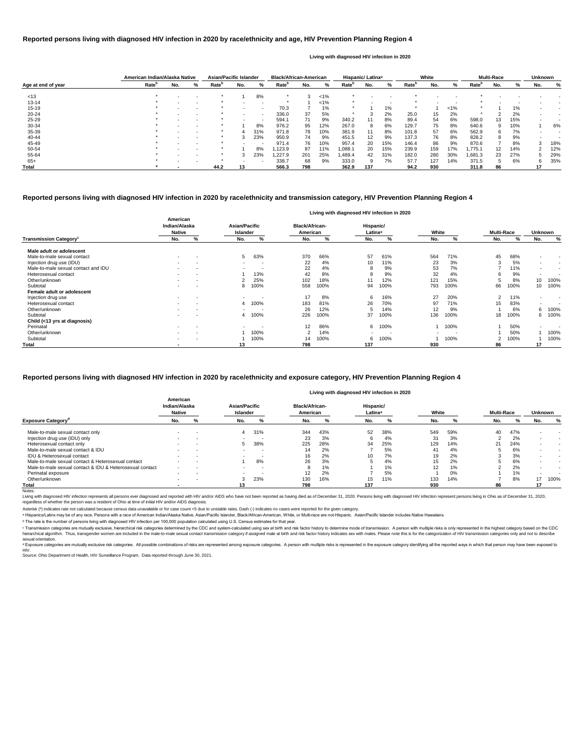|                    | American Indian/Alaska Native |     |   | <b>Asian/Pacific Islander</b> |     |                          | <b>Black/African-American</b> |     |         |                   | Hispanic/ Latinx <sup>a</sup> |     |                   | White |         |                   | <b>Multi-Race</b> |     | <b>Unknown</b> |     |
|--------------------|-------------------------------|-----|---|-------------------------------|-----|--------------------------|-------------------------------|-----|---------|-------------------|-------------------------------|-----|-------------------|-------|---------|-------------------|-------------------|-----|----------------|-----|
| Age at end of year | Rate <sup>r</sup>             | No. | ℅ | Rate <sup>b</sup>             | No. | %                        | Rate <sup>r</sup>             | No. | %       | Rate <sup>r</sup> | No.                           | %   | Rate <sup>p</sup> | No.   | ℅       | Rate <sup>r</sup> | No.               | %   | No.            | %   |
|                    |                               |     |   |                               |     |                          |                               |     |         |                   |                               |     |                   |       |         |                   |                   |     |                |     |
| < 13               |                               |     |   |                               |     | 8%                       |                               |     | $< 1\%$ |                   |                               |     |                   |       |         |                   |                   |     |                |     |
| $13 - 14$          |                               |     |   |                               |     |                          |                               |     | $< 1\%$ |                   |                               |     |                   |       |         |                   |                   |     |                |     |
| $15 - 19$          |                               |     |   |                               |     | $\sim$                   | 70.3                          |     | 1%      | $\star$           |                               | 1%  | $\star$           |       | $< 1\%$ |                   |                   | 1%  |                |     |
| $20 - 24$          |                               |     |   |                               |     | $\sim$                   | 336.0                         | 37  | 5%      |                   |                               | 2%  | 25.0              | 15    | 2%      |                   |                   | 2%  |                |     |
| $25 - 29$          |                               |     |   |                               |     | $\overline{\phantom{a}}$ | 594.1                         | 71  | 9%      | 340.2             | 11                            | 8%  | 89.4              | 54    | 6%      | 598.0             | 13                | 15% |                |     |
| 30-34              |                               |     |   |                               |     | 8%                       | 976.2                         | 95  | 12%     | 267.0             | 8                             | 6%  | 129.7             | 75    | 8%      | 640.6             | 9                 | 10% |                | 6%  |
| 35-39              |                               |     |   |                               |     | 31%                      | 971.8                         | 78  | 10%     | 381.9             | 11                            | 8%  | 101.8             | 57    | 6%      | 562.9             | 6                 | 7%  |                |     |
| 40-44              |                               |     |   |                               |     | 23%                      | 950.9                         | 74  | 9%      | 451.5             | 12                            | 9%  | 137.3             | 76    | 8%      | 828.2             | 8                 | 9%  |                |     |
| 45-49              |                               |     |   |                               |     | $\overline{\phantom{a}}$ | 971.4                         | 76  | 10%     | 957.4             | 20                            | 15% | 146.4             | 86    | 9%      | 870.6             |                   | 8%  |                | 18% |
| 50-54              |                               |     |   |                               |     | 8%                       | 1,123.9                       | 87  | 11%     | .088.1            | 20                            | 15% | 239.9             | 159   | 17%     | 775.1.            | 12                | 14% |                | 12% |
| 55-64              |                               |     |   |                               |     | 23%                      | 1,227.9                       | 201 | 25%     | .489.4            | 42                            | 31% | 182.0             | 280   | 30%     | 1,681.3           | 23                | 27% |                | 29% |
| $65+$              |                               |     |   |                               |     |                          | 338.7                         | 68  | 9%      | 333.0             | 9                             | 7%  | 57.7              | 127   | 14%     | 371.5             | 5.                | 6%  | 6              | 35% |
| <b>Total</b>       |                               |     |   | 44.2                          | 13  |                          | 566.3                         | 798 |         | 362.9             | 137                           |     | 94.2              | 930   |         | 311.8             | 86                |     | 17             |     |

<sup>c</sup> Transmission categories are mutually exclusive, hierarchical risk categories determined by the CDC and system-calculated using sex at birth and risk factor history to determine mode of transmission. A person with multi hierarchical algorithm. Thus, transgender women are included in the male-to-male sexual contact transmission category if assigned male at birth and risk factor history indicates sex with males. Please note this is for the sexual orientation.

|                                           |                                            |                          |                                         |                          |                                   |      |                                  | Living with diagnosed HIV infection in 2020 |                          |      |                   |      |                          |                          |
|-------------------------------------------|--------------------------------------------|--------------------------|-----------------------------------------|--------------------------|-----------------------------------|------|----------------------------------|---------------------------------------------|--------------------------|------|-------------------|------|--------------------------|--------------------------|
|                                           | American<br>Indian/Alaska<br><b>Native</b> |                          | <b>Asian/Pacific</b><br><b>Islander</b> |                          | <b>Black/African-</b><br>American |      | Hispanic/<br>Latinx <sup>a</sup> |                                             | White                    |      | <b>Multi-Race</b> |      | <b>Unknown</b>           |                          |
| <b>Transmission Category</b> <sup>c</sup> | No.                                        | %                        | No.                                     | %                        | No.                               | %    | No.                              | %                                           | No.                      | %    | No.               | %    | No.                      | %                        |
| Male adult or adolescent                  |                                            |                          |                                         |                          |                                   |      |                                  |                                             |                          |      |                   |      |                          |                          |
| Male-to-male sexual contact               | $\sim$                                     | $\overline{\phantom{a}}$ | 5                                       | 63%                      | 370                               | 66%  | 57                               | 61%                                         | 564                      | 71%  | 45                | 68%  | $\blacksquare$           | $\overline{\phantom{a}}$ |
| Injection drug use (IDU)                  |                                            |                          |                                         |                          | 22                                | 4%   | 10                               | 11%                                         | 23                       | 3%   | 3                 | 5%   | $\sim$                   | $\overline{\phantom{a}}$ |
| Male-to-male sexual contact and IDU       |                                            | $\overline{\phantom{a}}$ |                                         |                          | 22                                | 4%   | 8                                | 9%                                          | 53                       | 7%   |                   | 11%  | $\sim$                   | $\overline{\phantom{a}}$ |
| Heterosexual contact                      |                                            | $\overline{\phantom{a}}$ |                                         | 13%                      | 42                                | 8%   | 8                                | 9%                                          | 32                       | 4%   |                   | 9%   | $\sim$                   | $\overline{\phantom{a}}$ |
| Other/unknown                             |                                            | $\overline{\phantom{a}}$ |                                         | 25%                      | 102                               | 18%  | 11                               | 12%                                         | 121                      | 15%  |                   | 8%   | 10                       | 100%                     |
| Subtotal                                  |                                            | $\overline{\phantom{a}}$ | 8                                       | 100%                     | 558                               | 100% | 94                               | 100%                                        | 793                      | 100% | 66                | 100% | 10                       | 100%                     |
| Female adult or adolescent                |                                            |                          |                                         |                          |                                   |      |                                  |                                             |                          |      |                   |      |                          |                          |
| Injection drug use                        |                                            | $\overline{\phantom{a}}$ | $\sim$                                  | $\blacksquare$           | 17                                | 8%   | 6                                | 16%                                         | 27                       | 20%  | 2                 | 11%  | $\blacksquare$           | $\,$ $\,$                |
| Heterosexual contact                      |                                            | $\,$                     |                                         | 4 100%                   | 183                               | 81%  | 26                               | 70%                                         | 97                       | 71%  | 15                | 83%  | $\overline{\phantom{a}}$ |                          |
| Other/unknown                             |                                            | $\overline{\phantom{a}}$ |                                         |                          | 26                                | 12%  | 5                                | 14%                                         | 12                       | 9%   |                   | 6%   | 6                        | 100%                     |
| Subtotal                                  |                                            | $\blacksquare$           |                                         | 4 100%                   | 226                               | 100% | 37                               | 100%                                        | 136                      | 100% | 18                | 100% | 6                        | 100%                     |
| Child (<13 yrs at diagnosis)              |                                            |                          |                                         |                          |                                   |      |                                  |                                             |                          |      |                   |      |                          |                          |
| Perinatal                                 | $\sim$                                     | $\overline{\phantom{a}}$ | $\sim$                                  | $\overline{\phantom{a}}$ | 12                                | 86%  | 6                                | 100%                                        |                          | 100% |                   | 50%  | $\blacksquare$           |                          |
| Other/unknown                             | $\sim$                                     | $\overline{\phantom{a}}$ |                                         | 100%                     |                                   | 14%  |                                  |                                             | $\overline{\phantom{a}}$ |      |                   | 50%  |                          | 100%                     |
| Subtotal                                  | $\sim$                                     | $\overline{\phantom{a}}$ |                                         | 100%                     | 14                                | 100% | 6                                | 100%                                        |                          | 100% | 2                 | 100% |                          | 100%                     |
| <b>Total</b>                              |                                            |                          | 13                                      |                          | 798                               |      | 137                              |                                             | 930                      |      | 86                |      | 17                       |                          |

Living with diagnosed HIV infection represents all persons ever diagnosed and reported with HIV and/or AIDS who have not been reported as having died as of December 31, 2020. Persons living with diagnosed HIV infection rep regardless of whether the person was a resident of Ohio at time of initial HIV and/or AIDS diagnosis.

#### **Reported persons living with diagnosed HIV infection in 2020 by race/ethnicity and transmission category, HIV Prevention Planning Region 4**

<sup>d</sup> Exposure categories are mutually exclusive risk categories. All possible combinations of risks are represented among exposure categories. A person with multiple risks is represented in the exposure category identifying HIV.

#### **Reported persons living with diagnosed HIV infection in 2020 by race/ethnicity and age, HIV Prevention Planning Region 4**

#### **Living with diagnosed HIV infection in 2020**

#### **Reported persons living with diagnosed HIV infection in 2020 by race/ethnicity and exposure category, HIV Prevention Planning Region 4**

Source: Ohio Department of Health, HIV Surveillance Program. Data reported through June 30, 2021.

|                                                          |                                            |        |                           |     |                                   |       | Living with diagnosed HIV infection in 2020 |     |       |     |                   |     |                |                          |
|----------------------------------------------------------|--------------------------------------------|--------|---------------------------|-----|-----------------------------------|-------|---------------------------------------------|-----|-------|-----|-------------------|-----|----------------|--------------------------|
|                                                          | American<br>Indian/Alaska<br><b>Native</b> |        | Asian/Pacific<br>Islander |     | <b>Black/African-</b><br>American |       | Hispanic/<br>Latinx <sup>a</sup>            |     | White |     | <b>Multi-Race</b> |     | <b>Unknown</b> |                          |
| <b>Exposure Category</b>                                 | No.                                        | %      | No.                       | %   | No.                               | %     | No.                                         |     | No.   | %   | No.               |     | No.            | %                        |
| Male-to-male sexual contact only                         | $\,$ $\,$                                  |        | 4                         | 31% | 344                               | 43%   | 52                                          | 38% | 549   | 59% | 40                | 47% |                |                          |
| Injection drug use (IDU) only                            | $\overline{\phantom{a}}$                   | $\sim$ | $\sim$                    | -   | 23                                | 3%    |                                             | 4%  | 31    | 3%  |                   | 2%  | $\blacksquare$ | $\,$ $\,$                |
| Heterosexual contact only                                | $\,$ $\,$                                  |        |                           | 38% | 225                               | 28%   | 34                                          | 25% | 129   | 14% | 21                | 24% |                | $\,$ $\,$                |
| Male-to-male sexual contact & IDU                        | $\overline{\phantom{a}}$                   |        |                           | . . | 14                                | 2%    |                                             | 5%  | 41    | 4%  |                   | 6%  |                | $\overline{\phantom{a}}$ |
| <b>IDU &amp; Heterosexual contact</b>                    | $\overline{\phantom{a}}$                   |        |                           | -   | 16                                | 2%    | 10                                          | 7%  | 19    | 2%  |                   | 3%  |                | $\overline{\phantom{a}}$ |
| Male-to-male sexual contact & Heterosexual contact       |                                            | . .    |                           | 8%  | 26                                | 3%    |                                             | 4%  | 15    | 2%  |                   | 6%  |                | $\,$ $\,$                |
| Male-to-male sexual contact & IDU & Heterosexual contact | $\overline{\phantom{a}}$                   | . .    |                           | -   |                                   | $1\%$ |                                             | 1%  | 12    | 1%  |                   | 2%  |                |                          |
| Perinatal exposure                                       | $\,$ $\,$                                  |        |                           |     | 12                                | 2%    |                                             | 5%  |       | 0%  |                   | 1%  |                |                          |
| Other/unknown                                            | $\overline{\phantom{a}}$                   |        |                           | 23% | 130                               | 16%   | 15                                          | 11% | 133   | 14% |                   | 8%  |                | 100%                     |
| Total                                                    |                                            |        |                           |     | 798                               |       | 137                                         |     | 930   |     | 86                |     |                |                          |

#### Notes:

ᵇ The rate is the number of persons living with diagnosed HIV infection per 100,000 population calculated using U.S. Census estimates for that year.

Asterisk (\*) indicates rate not calculated because census data unavailable or for case count <5 due to unstable rates. Dash (-) indicates no cases were reported for the given category.

a Hispanics/Latinx may be of any race. Persons with a race of American Indian/Alaska Native, Asian/Pacific Islander, Black/African-American, White, or Multi-race are not-Hispanic. Asian/Pacific Islander includes Native Haw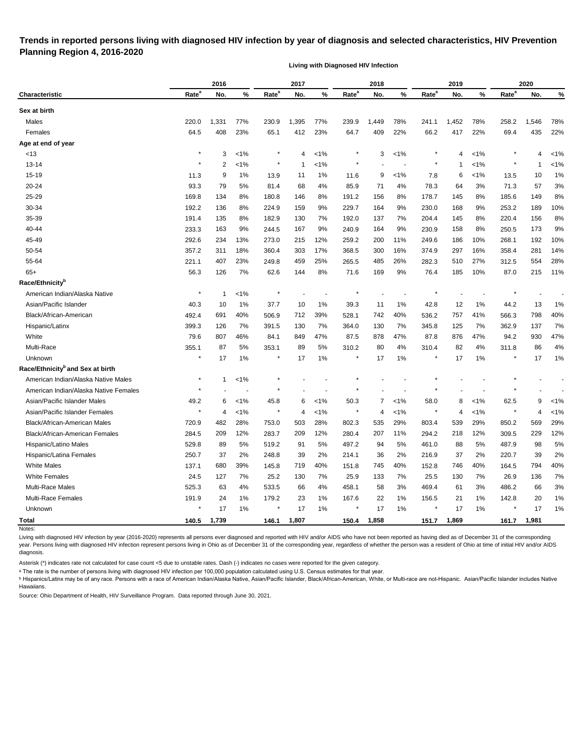# **Trends in reported persons living with diagnosed HIV infection by year of diagnosis and selected characteristics, HIV Prevention Planning Region 4, 2016-2020**

**Living with Diagnosed HIV Infection**

|                                              |                   | 2016  |         |                   | 2017  |         |                   | 2018  |         |                   | 2019  |         |                   | 2020  |         |
|----------------------------------------------|-------------------|-------|---------|-------------------|-------|---------|-------------------|-------|---------|-------------------|-------|---------|-------------------|-------|---------|
| Characteristic                               | Rate <sup>a</sup> | No.   | %       | Rate <sup>a</sup> | No.   | %       | Rate <sup>a</sup> | No.   | %       | Rate <sup>a</sup> | No.   | %       | Rate <sup>a</sup> | No.   | %       |
| Sex at birth                                 |                   |       |         |                   |       |         |                   |       |         |                   |       |         |                   |       |         |
| Males                                        | 220.0             | 1,331 | 77%     | 230.9             | 1,395 | 77%     | 239.9             | 1,449 | 78%     | 241.1             | 1,452 | 78%     | 258.2             | 1,546 | 78%     |
| Females                                      | 64.5              | 408   | 23%     | 65.1              | 412   | 23%     | 64.7              | 409   | 22%     | 66.2              | 417   | 22%     | 69.4              | 435   | 22%     |
| Age at end of year                           |                   |       |         |                   |       |         |                   |       |         |                   |       |         |                   |       |         |
| <13                                          | ×                 | 3     | $< 1\%$ |                   | 4     | $< 1\%$ |                   | 3     | $< 1\%$ |                   | 4     | $1\%$   |                   | 4     | $< 1\%$ |
| $13 - 14$                                    |                   | 2     | $< 1\%$ | $^\star$          | -1    | $< 1\%$ |                   |       |         |                   | -1    | <1%     |                   | -1    | $< 1\%$ |
| $15 - 19$                                    | 11.3              | 9     | 1%      | 13.9              | 11    | $1\%$   | 11.6              | 9     | $< 1\%$ | 7.8               | 6     | $1\%$   | 13.5              | 10    | 1%      |
| 20-24                                        | 93.3              | 79    | 5%      | 81.4              | 68    | 4%      | 85.9              | 71    | 4%      | 78.3              | 64    | 3%      | 71.3              | 57    | 3%      |
| 25-29                                        | 169.8             | 134   | 8%      | 180.8             | 146   | 8%      | 191.2             | 156   | 8%      | 178.7             | 145   | 8%      | 185.6             | 149   | 8%      |
| 30-34                                        | 192.2             | 136   | 8%      | 224.9             | 159   | 9%      | 229.7             | 164   | 9%      | 230.0             | 168   | 9%      | 253.2             | 189   | 10%     |
| 35-39                                        | 191.4             | 135   | 8%      | 182.9             | 130   | 7%      | 192.0             | 137   | 7%      | 204.4             | 145   | 8%      | 220.4             | 156   | 8%      |
| 40-44                                        | 233.3             | 163   | 9%      | 244.5             | 167   | 9%      | 240.9             | 164   | 9%      | 230.9             | 158   | 8%      | 250.5             | 173   | 9%      |
| 45-49                                        | 292.6             | 234   | 13%     | 273.0             | 215   | 12%     | 259.2             | 200   | 11%     | 249.6             | 186   | 10%     | 268.1             | 192   | 10%     |
| 50-54                                        | 357.2             | 311   | 18%     | 360.4             | 303   | 17%     | 368.5             | 300   | 16%     | 374.9             | 297   | 16%     | 358.4             | 281   | 14%     |
| 55-64                                        | 221.1             | 407   | 23%     | 249.8             | 459   | 25%     | 265.5             | 485   | 26%     | 282.3             | 510   | 27%     | 312.5             | 554   | 28%     |
| $65+$                                        | 56.3              | 126   | 7%      | 62.6              | 144   | 8%      | 71.6              | 169   | 9%      | 76.4              | 185   | 10%     | 87.0              | 215   | 11%     |
| Race/Ethnicity <sup>b</sup>                  |                   |       |         |                   |       |         |                   |       |         |                   |       |         |                   |       |         |
| American Indian/Alaska Native                |                   | 1     | $1\%$   |                   |       |         |                   |       |         |                   |       |         |                   |       |         |
| Asian/Pacific Islander                       | 40.3              | 10    | 1%      | 37.7              | 10    | $1\%$   | 39.3              | 11    | 1%      | 42.8              | 12    | 1%      | 44.2              | 13    | 1%      |
| Black/African-American                       | 492.4             | 691   | 40%     | 506.9             | 712   | 39%     | 528.1             | 742   | 40%     | 536.2             | 757   | 41%     | 566.3             | 798   | 40%     |
| Hispanic/Latinx                              | 399.3             | 126   | 7%      | 391.5             | 130   | 7%      | 364.0             | 130   | 7%      | 345.8             | 125   | 7%      | 362.9             | 137   | 7%      |
| White                                        | 79.6              | 807   | 46%     | 84.1              | 849   | 47%     | 87.5              | 878   | 47%     | 87.8              | 876   | 47%     | 94.2              | 930   | 47%     |
| Multi-Race                                   | 355.1             | 87    | 5%      | 353.1             | 89    | 5%      | 310.2             | 80    | 4%      | 310.4             | 82    | 4%      | 311.8             | 86    | 4%      |
| Unknown                                      | $\star$           | 17    | 1%      | $\star$           | 17    | $1\%$   | $\ast$            | 17    | 1%      |                   | 17    | $1\%$   |                   | 17    | 1%      |
| Race/Ethnicity <sup>b</sup> and Sex at birth |                   |       |         |                   |       |         |                   |       |         |                   |       |         |                   |       |         |
| American Indian/Alaska Native Males          | $\ast$            | 1     | $< 1\%$ |                   |       |         |                   |       |         |                   |       |         |                   |       |         |
| American Indian/Alaska Native Females        |                   |       |         |                   |       |         |                   |       |         |                   |       |         |                   |       |         |
| Asian/Pacific Islander Males                 | 49.2              | 6     | $1\%$   | 45.8              | 6     | <1%     | 50.3              | 7     | $< 1\%$ | 58.0              | 8     | $< 1\%$ | 62.5              | 9     | $< 1\%$ |
| Asian/Pacific Islander Females               | ×                 | 4     | 1%      | $\ast$            | 4     | $< 1\%$ |                   | 4     | $< 1\%$ | $\ast$            | 4     | <1%     |                   | 4     | $< 1\%$ |
| Black/African-American Males                 | 720.9             | 482   | 28%     | 753.0             | 503   | 28%     | 802.3             | 535   | 29%     | 803.4             | 539   | 29%     | 850.2             | 569   | 29%     |
| Black/African-American Females               | 284.5             | 209   | 12%     | 283.7             | 209   | 12%     | 280.4             | 207   | 11%     | 294.2             | 218   | 12%     | 309.5             | 229   | 12%     |
| Hispanic/Latino Males                        | 529.8             | 89    | 5%      | 519.2             | 91    | 5%      | 497.2             | 94    | 5%      | 461.0             | 88    | 5%      | 487.9             | 98    | 5%      |
| Hispanic/Latina Females                      | 250.7             | 37    | 2%      | 248.8             | 39    | 2%      | 214.1             | 36    | 2%      | 216.9             | 37    | 2%      | 220.7             | 39    | 2%      |
| <b>White Males</b>                           | 137.1             | 680   | 39%     | 145.8             | 719   | 40%     | 151.8             | 745   | 40%     | 152.8             | 746   | 40%     | 164.5             | 794   | 40%     |
| <b>White Females</b>                         | 24.5              | 127   | 7%      | 25.2              | 130   | 7%      | 25.9              | 133   | 7%      | 25.5              | 130   | 7%      | 26.9              | 136   | 7%      |
| <b>Multi-Race Males</b>                      | 525.3             | 63    | 4%      | 533.5             | 66    | 4%      | 458.1             | 58    | 3%      | 469.4             | 61    | 3%      | 486.2             | 66    | 3%      |
| Multi-Race Females                           | 191.9             | 24    | 1%      | 179.2             | 23    | $1\%$   | 167.6             | 22    | $1\%$   | 156.5             | 21    | 1%      | 142.8             | 20    | 1%      |
| Unknown                                      | $\star$           | 17    | $1\%$   | $\star$           | 17    | $1\%$   |                   | 17    | $1\%$   |                   | 17    | $1\%$   |                   | 17    | 1%      |
| <b>Total</b>                                 | 140.5             | 1,739 |         | 146.1             | 1,807 |         | 150.4             | 1,858 |         | 151.7             | 1,869 |         | 161.7             | 1,981 |         |
| Notes:                                       |                   |       |         |                   |       |         |                   |       |         |                   |       |         |                   |       |         |

Living with diagnosed HIV infection by year (2016-2020) represents all persons ever diagnosed and reported with HIV and/or AIDS who have not been reported as having died as of December 31 of the corresponding year. Persons living with diagnosed HIV infection represent persons living in Ohio as of December 31 of the corresponding year, regardless of whether the person was a resident of Ohio at time of initial HIV and/or AIDS diagnosis.

Asterisk (\*) indicates rate not calculated for case count <5 due to unstable rates. Dash (-) indicates no cases were reported for the given category.

a The rate is the number of persons living with diagnosed HIV infection per 100,000 population calculated using U.S. Census estimates for that year.

**b** Hispanics/Latinx may be of any race. Persons with a race of American Indian/Alaska Native, Asian/Pacific Islander, Black/African-American, White, or Multi-race are not-Hispanic. Asian/Pacific Islander includes Native Hawaiians.